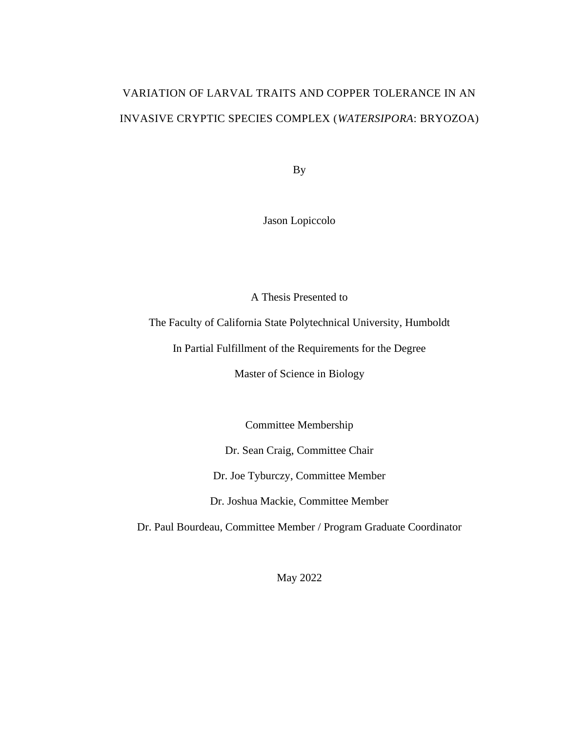# VARIATION OF LARVAL TRAITS AND COPPER TOLERANCE IN AN INVASIVE CRYPTIC SPECIES COMPLEX (*WATERSIPORA*: BRYOZOA)

By

Jason Lopiccolo

A Thesis Presented to

The Faculty of California State Polytechnical University, Humboldt

In Partial Fulfillment of the Requirements for the Degree

Master of Science in Biology

Committee Membership

Dr. Sean Craig, Committee Chair

Dr. Joe Tyburczy, Committee Member

Dr. Joshua Mackie, Committee Member

Dr. Paul Bourdeau, Committee Member / Program Graduate Coordinator

May 2022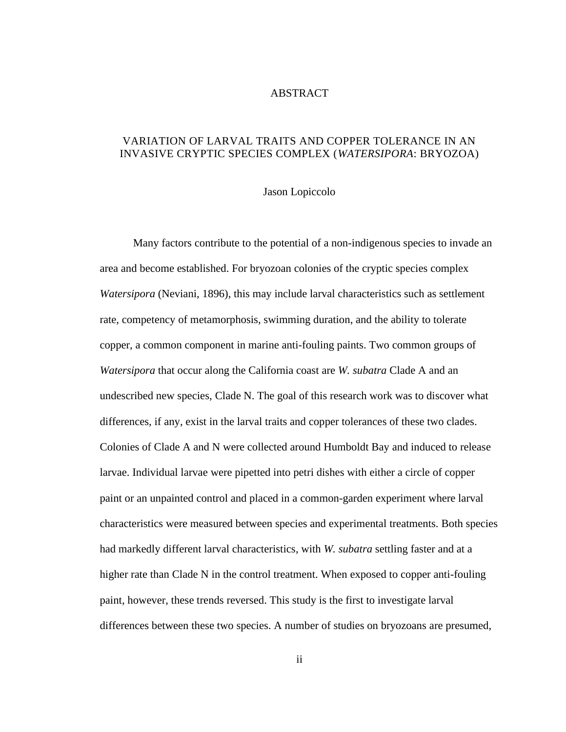#### ABSTRACT

# <span id="page-1-0"></span>VARIATION OF LARVAL TRAITS AND COPPER TOLERANCE IN AN INVASIVE CRYPTIC SPECIES COMPLEX (*WATERSIPORA*: BRYOZOA)

#### Jason Lopiccolo

Many factors contribute to the potential of a non-indigenous species to invade an area and become established. For bryozoan colonies of the cryptic species complex *Watersipora* (Neviani, 1896), this may include larval characteristics such as settlement rate, competency of metamorphosis, swimming duration, and the ability to tolerate copper, a common component in marine anti-fouling paints. Two common groups of *Watersipora* that occur along the California coast are *W. subatra* Clade A and an undescribed new species, Clade N. The goal of this research work was to discover what differences, if any, exist in the larval traits and copper tolerances of these two clades. Colonies of Clade A and N were collected around Humboldt Bay and induced to release larvae. Individual larvae were pipetted into petri dishes with either a circle of copper paint or an unpainted control and placed in a common-garden experiment where larval characteristics were measured between species and experimental treatments. Both species had markedly different larval characteristics, with *W. subatra* settling faster and at a higher rate than Clade N in the control treatment. When exposed to copper anti-fouling paint, however, these trends reversed. This study is the first to investigate larval differences between these two species. A number of studies on bryozoans are presumed,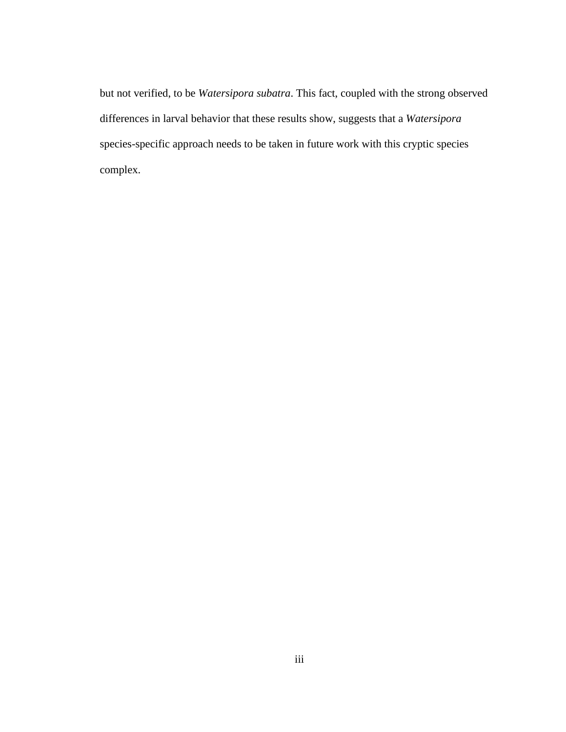but not verified, to be *Watersipora subatra*. This fact, coupled with the strong observed differences in larval behavior that these results show, suggests that a *Watersipora* species-specific approach needs to be taken in future work with this cryptic species complex.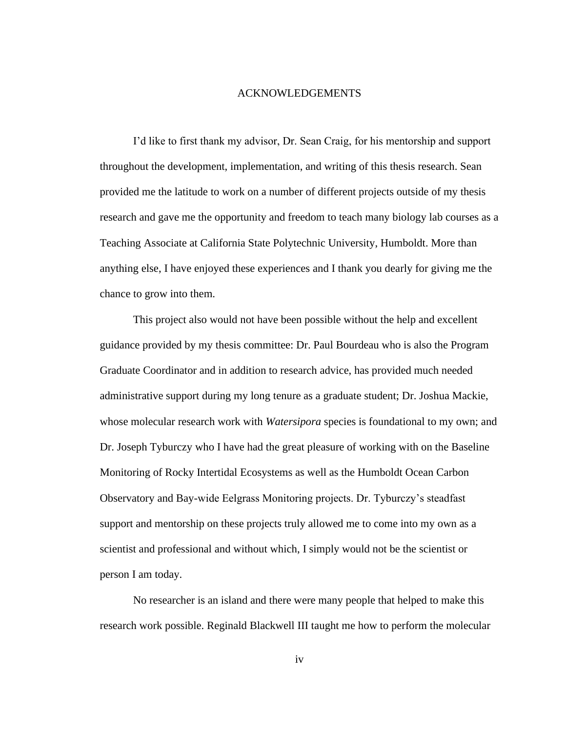#### ACKNOWLEDGEMENTS

<span id="page-3-0"></span>I'd like to first thank my advisor, Dr. Sean Craig, for his mentorship and support throughout the development, implementation, and writing of this thesis research. Sean provided me the latitude to work on a number of different projects outside of my thesis research and gave me the opportunity and freedom to teach many biology lab courses as a Teaching Associate at California State Polytechnic University, Humboldt. More than anything else, I have enjoyed these experiences and I thank you dearly for giving me the chance to grow into them.

This project also would not have been possible without the help and excellent guidance provided by my thesis committee: Dr. Paul Bourdeau who is also the Program Graduate Coordinator and in addition to research advice, has provided much needed administrative support during my long tenure as a graduate student; Dr. Joshua Mackie, whose molecular research work with *Watersipora* species is foundational to my own; and Dr. Joseph Tyburczy who I have had the great pleasure of working with on the Baseline Monitoring of Rocky Intertidal Ecosystems as well as the Humboldt Ocean Carbon Observatory and Bay-wide Eelgrass Monitoring projects. Dr. Tyburczy's steadfast support and mentorship on these projects truly allowed me to come into my own as a scientist and professional and without which, I simply would not be the scientist or person I am today.

No researcher is an island and there were many people that helped to make this research work possible. Reginald Blackwell III taught me how to perform the molecular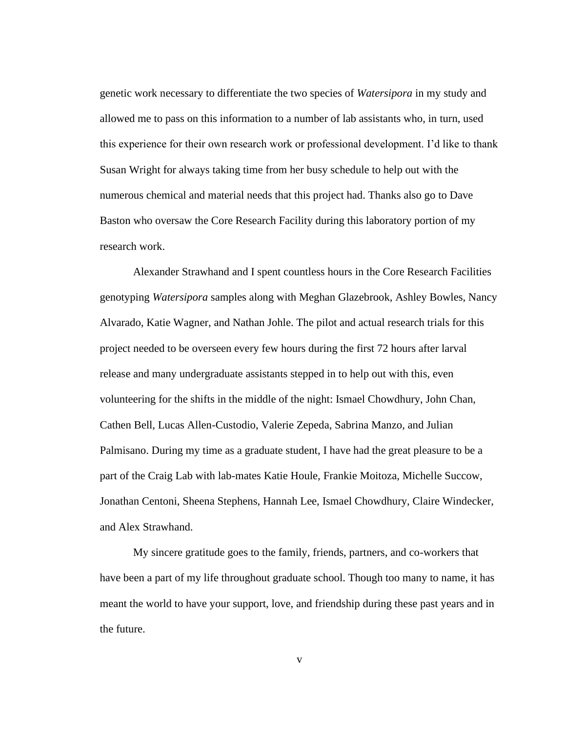genetic work necessary to differentiate the two species of *Watersipora* in my study and allowed me to pass on this information to a number of lab assistants who, in turn, used this experience for their own research work or professional development. I'd like to thank Susan Wright for always taking time from her busy schedule to help out with the numerous chemical and material needs that this project had. Thanks also go to Dave Baston who oversaw the Core Research Facility during this laboratory portion of my research work.

Alexander Strawhand and I spent countless hours in the Core Research Facilities genotyping *Watersipora* samples along with Meghan Glazebrook, Ashley Bowles, Nancy Alvarado, Katie Wagner, and Nathan Johle. The pilot and actual research trials for this project needed to be overseen every few hours during the first 72 hours after larval release and many undergraduate assistants stepped in to help out with this, even volunteering for the shifts in the middle of the night: Ismael Chowdhury, John Chan, Cathen Bell, Lucas Allen-Custodio, Valerie Zepeda, Sabrina Manzo, and Julian Palmisano. During my time as a graduate student, I have had the great pleasure to be a part of the Craig Lab with lab-mates Katie Houle, Frankie Moitoza, Michelle Succow, Jonathan Centoni, Sheena Stephens, Hannah Lee, Ismael Chowdhury, Claire Windecker, and Alex Strawhand.

My sincere gratitude goes to the family, friends, partners, and co-workers that have been a part of my life throughout graduate school. Though too many to name, it has meant the world to have your support, love, and friendship during these past years and in the future.

v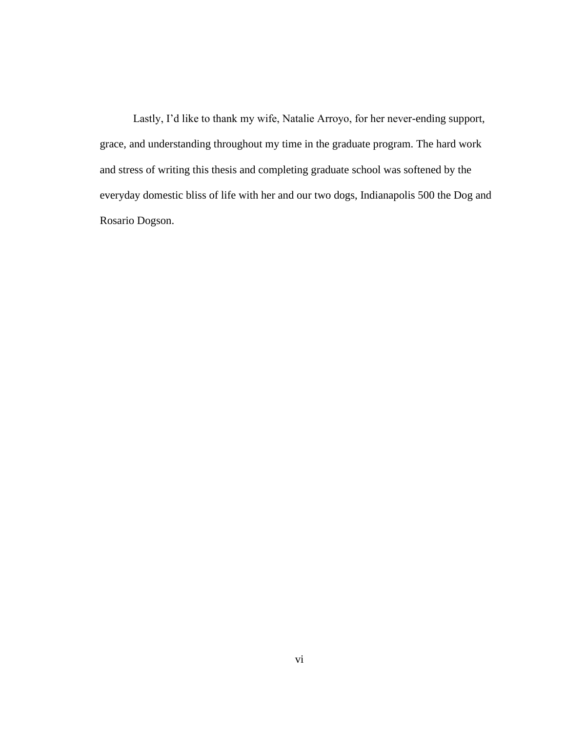Lastly, I'd like to thank my wife, Natalie Arroyo, for her never-ending support, grace, and understanding throughout my time in the graduate program. The hard work and stress of writing this thesis and completing graduate school was softened by the everyday domestic bliss of life with her and our two dogs, Indianapolis 500 the Dog and Rosario Dogson.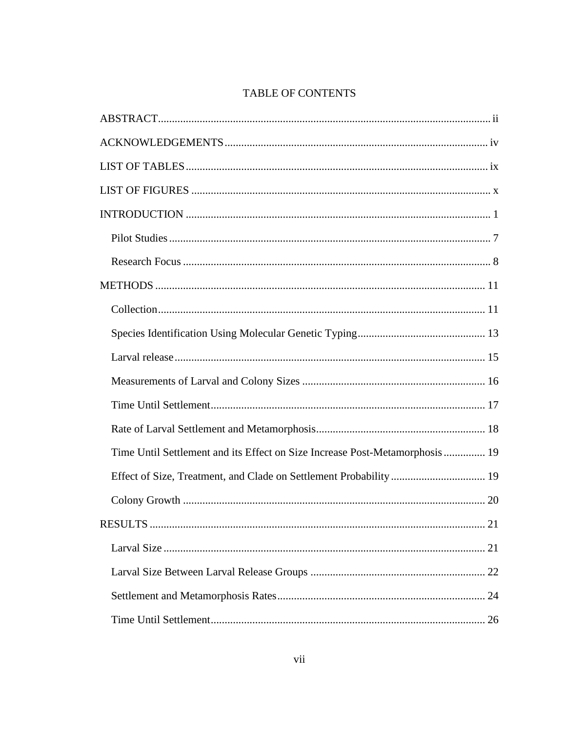# TABLE OF CONTENTS

| Time Until Settlement and its Effect on Size Increase Post-Metamorphosis 19 |
|-----------------------------------------------------------------------------|
| Effect of Size, Treatment, and Clade on Settlement Probability  19          |
|                                                                             |
|                                                                             |
|                                                                             |
|                                                                             |
|                                                                             |
|                                                                             |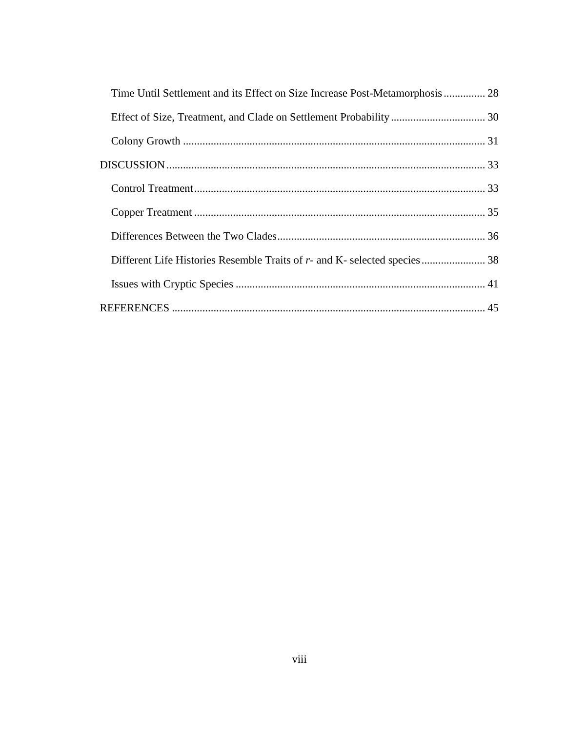| Time Until Settlement and its Effect on Size Increase Post-Metamorphosis 28 |  |
|-----------------------------------------------------------------------------|--|
|                                                                             |  |
|                                                                             |  |
|                                                                             |  |
|                                                                             |  |
|                                                                             |  |
|                                                                             |  |
| Different Life Histories Resemble Traits of r- and K- selected species 38   |  |
|                                                                             |  |
|                                                                             |  |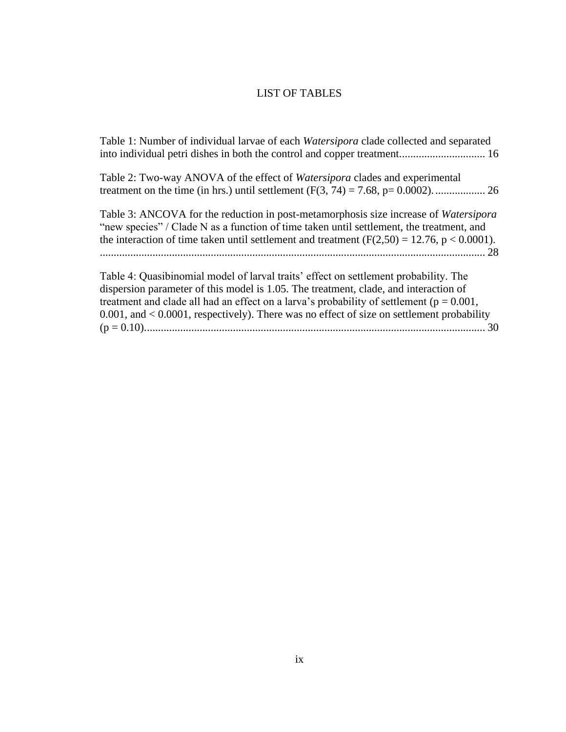# LIST OF TABLES

<span id="page-8-0"></span>[Table 1: Number of individual larvae of each](#page-26-1) *Watersipora* clade collected and separated [into individual petri dishes in both the control and copper treatment...............................](#page-26-1) 16

| Table 2: Two-way ANOVA of the effect of <i>Watersipora</i> clades and experimental |  |
|------------------------------------------------------------------------------------|--|
|                                                                                    |  |

[Table 3: ANCOVA for the reduction in post-metamorphosis size increase of](#page-38-1) *Watersipora* ["new species" / Clade N as a function of time](#page-38-1) taken until settlement, the treatment, and the interaction of time taken until settlement and treatment  $(F(2,50) = 12.76, p < 0.0001)$ . [...........................................................................................................................................](#page-38-1) 28

[Table 4: Quasibinomial model of larval traits' effect on settlement probability. The](#page-40-1)  [dispersion parameter of this model is 1.05. The treatment, clade, and interaction of](#page-40-1)  [treatment and clade all had an effect on a larva's probability of settlement](#page-40-1) ( $p = 0.001$ , [0.001, and < 0.0001, respectively\). There was no effect of size on settlement probability](#page-40-1)  [\(p = 0.10\)...........................................................................................................................](#page-40-1) 30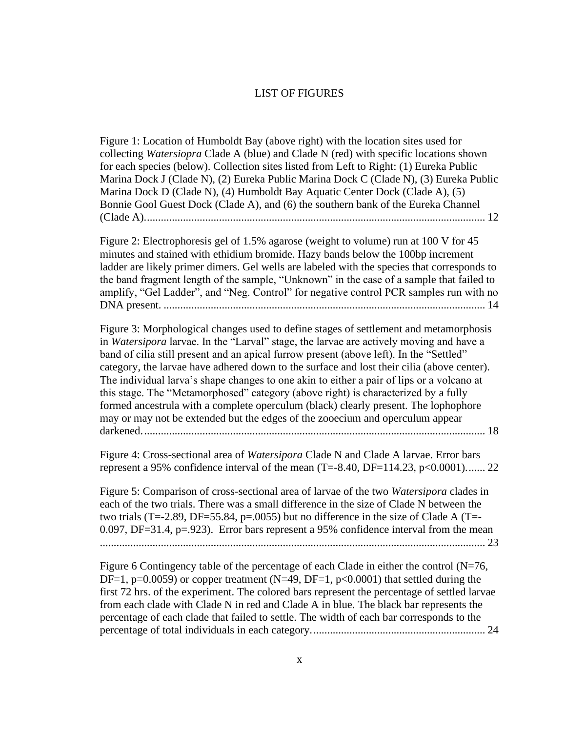#### LIST OF FIGURES

<span id="page-9-0"></span>[Figure 1: Location of Humboldt Bay \(above right\) with the location sites used for](#page-22-0)  collecting *Watersiopra* [Clade A \(blue\) and Clade N \(red\) with specific locations shown](#page-22-0)  [for each species \(below\). Collection sites listed from Left to Right: \(1\) Eureka Public](#page-22-0)  [Marina Dock J \(Clade N\), \(2\) Eureka Public Marina Dock C \(Clade N\), \(3\) Eureka Public](#page-22-0)  [Marina Dock D \(Clade N\), \(4\) Humboldt Bay Aquatic Center Dock \(Clade A\), \(5\)](#page-22-0)  Bonnie Gool Guest Dock (Clade A), and [\(6\) the southern bank of the Eureka Channel](#page-22-0)  [\(Clade A\)...........................................................................................................................](#page-22-0) 12

[Figure 2: Electrophoresis gel of 1.5% agarose \(weight to volume\) run at 100 V for 45](#page-24-0)  [minutes and stained with ethidium bromide. Hazy bands below the 100bp increment](#page-24-0)  [ladder are likely primer dimers. Gel wells are labeled with the species that corresponds to](#page-24-0)  [the band fragment length of the sample, "Unknown" in the case of a sample that failed to](#page-24-0)  [amplify, "Gel Ladder", and "Neg. Control" for negative control PCR samples run with no](#page-24-0)  DNA present. [....................................................................................................................](#page-24-0) 14

Figure [3: Morphological changes used to define stages of settlement and metamorphosis](#page-28-1)  in *Watersipora* [larvae. In the "Larval" stage, the larvae are actively moving and have a](#page-28-1)  [band of cilia still present and an apical furrow present \(above left\). In the "Settled"](#page-28-1)  [category, the larvae have adhered down to the surface and lost their cilia \(above center\).](#page-28-1)  [The individual larva's shape changes to one akin to either a pair of lips or a volcano at](#page-28-1)  [this stage. The "Metamorphosed" category \(above right\) is characterized by a fully](#page-28-1)  [formed ancestrula with a complete operculum \(black\) clearly present. The lophophore](#page-28-1)  [may or may not be extended but the edges of the zooecium and operculum appear](#page-28-1)  [darkened............................................................................................................................](#page-28-1) 18

Figure 4: Cross-sectional area of *Watersipora* [Clade N and Clade A larvae. Error bars](#page-32-1)  represent a 95% confidence interval of the mean  $(T=.840, DF=.114.23, p<0.0001)$ ....... 22

[Figure 5: Comparison of cross-sectional area of larvae of the two](#page-33-0) *Watersipora* clades in [each of the two trials. There was a small difference in the size of Clade N between the](#page-33-0)  [two trials \(T=-2.89, DF=55.84, p=.0055\) but no difference in the size of Clade A \(T=-](#page-33-0)  $0.097$ , DF=31.4, p=.923). Error bars represent a 95% confidence interval from the mean [...........................................................................................................................................](#page-33-0) 23

Figure 6 Contingency table of the percentage of each Clade in either the control  $(N=76, 10)$ DF=1, p=0.0059) or copper treatment (N=49, DF=1, p<0.0001) that settled during the [first 72 hrs. of the experiment. The colored bars represent the percentage of settled larvae](#page-34-1)  [from each clade with Clade N in red and Clade A in blue. The black bar represents the](#page-34-1)  [percentage of each clade that failed to settle. The width of each bar corresponds to the](#page-34-1)  [percentage of total individuals in each category...............................................................](#page-34-1) 24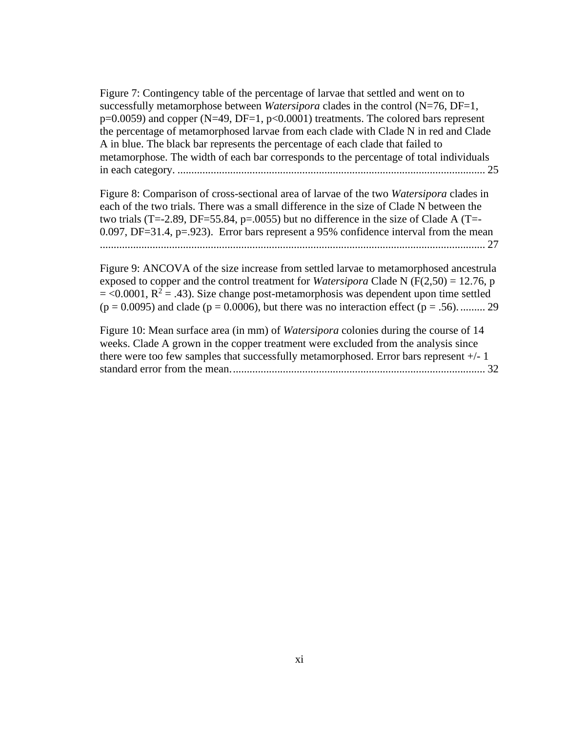[Figure 7: Contingency table of the percentage of larvae that settled and went on to](#page-35-0)  [successfully metamorphose between](#page-35-0) *Watersipora* clades in the control (N=76, DF=1,  $p=0.0059$ ) and copper (N=49, DF=1,  $p<0.0001$ ) treatments. The colored bars represent [the percentage of metamorphosed larvae from each clade with Clade N in red and Clade](#page-35-0)  [A in blue. The black bar represents the percentage of each clade that failed to](#page-35-0)  [metamorphose. The width of each bar corresponds to the percentage of total individuals](#page-35-0)  in each category. [...............................................................................................................](#page-35-0) 25

[Figure 8: Comparison of cross-sectional area of larvae of the two](#page-37-0) *Watersipora* clades in [each of the two trials. There was a small difference in the size of Clade N between the](#page-37-0)  [two trials \(T=-2.89, DF=55.84, p=.0055\) but no difference in the size of Clade A \(T=-](#page-37-0) [0.097, DF=31.4, p=.923\). Error bars represent a 95% confidence interval from the mean](#page-37-0) [...........................................................................................................................................](#page-37-0) 27

[Figure 9: ANCOVA of the size increase from settled larvae to metamorphosed ancestrula](#page-39-0)  [exposed to copper and the control treatment for](#page-39-0) *Watersipora* Clade N ( $F(2,50) = 12.76$ , p  $=$  <0.0001,  $R^2 = .43$ ). Size change post-metamorphosis was dependent upon time settled  $(p = 0.0095)$  and clade  $(p = 0.0006)$ , but there was no interaction effect  $(p = .56)$ ........... 29

[Figure 10: Mean surface area \(in mm\) of](#page-42-0) *Watersipora* colonies during the course of 14 weeks. Clade A grown in the [copper treatment were excluded from the analysis since](#page-42-0)  [there were too few samples that successfully metamorphosed. Error bars represent +/-](#page-42-0) 1 [standard error from the mean............................................................................................](#page-42-0) 32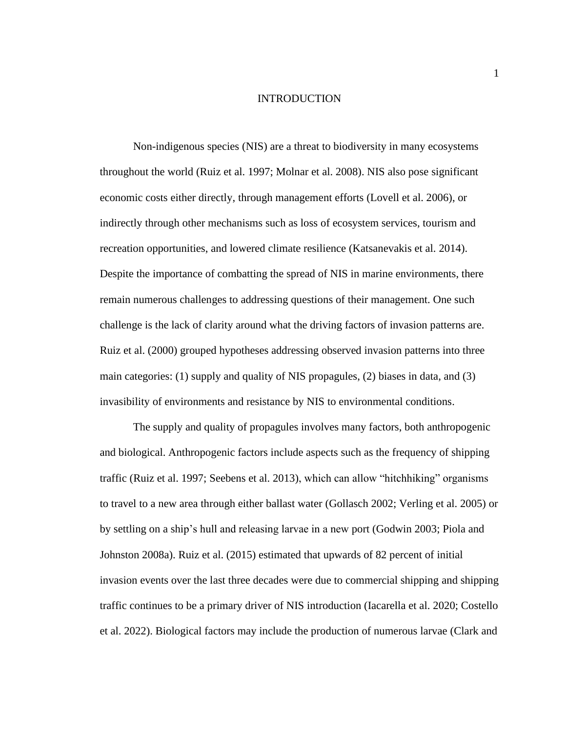#### INTRODUCTION

<span id="page-11-0"></span>Non-indigenous species (NIS) are a threat to biodiversity in many ecosystems throughout the world (Ruiz et al. 1997; Molnar et al. 2008). NIS also pose significant economic costs either directly, through management efforts (Lovell et al. 2006), or indirectly through other mechanisms such as loss of ecosystem services, tourism and recreation opportunities, and lowered climate resilience (Katsanevakis et al. 2014). Despite the importance of combatting the spread of NIS in marine environments, there remain numerous challenges to addressing questions of their management. One such challenge is the lack of clarity around what the driving factors of invasion patterns are. Ruiz et al. (2000) grouped hypotheses addressing observed invasion patterns into three main categories: (1) supply and quality of NIS propagules, (2) biases in data, and (3) invasibility of environments and resistance by NIS to environmental conditions.

The supply and quality of propagules involves many factors, both anthropogenic and biological. Anthropogenic factors include aspects such as the frequency of shipping traffic (Ruiz et al. 1997; Seebens et al. 2013), which can allow "hitchhiking" organisms to travel to a new area through either ballast water (Gollasch 2002; Verling et al. 2005) or by settling on a ship's hull and releasing larvae in a new port (Godwin 2003; Piola and Johnston 2008a). Ruiz et al. (2015) estimated that upwards of 82 percent of initial invasion events over the last three decades were due to commercial shipping and shipping traffic continues to be a primary driver of NIS introduction (Iacarella et al. 2020; Costello et al. 2022). Biological factors may include the production of numerous larvae (Clark and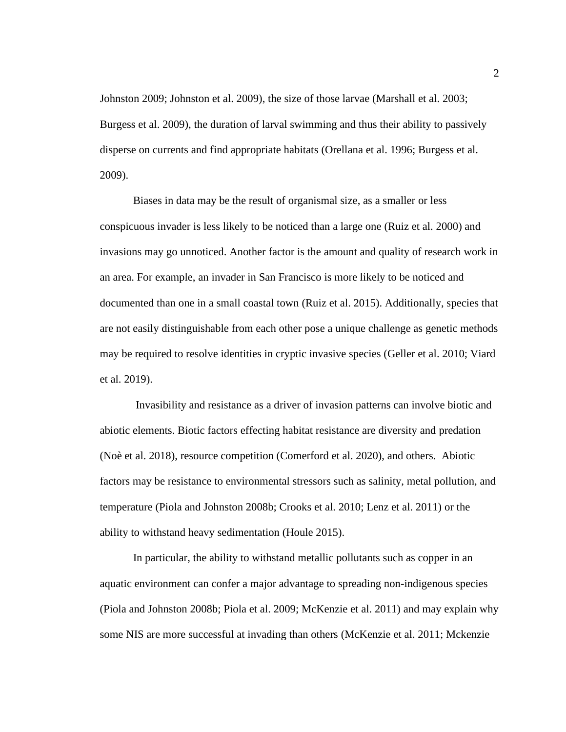Johnston 2009; Johnston et al. 2009), the size of those larvae (Marshall et al. 2003; Burgess et al. 2009), the duration of larval swimming and thus their ability to passively disperse on currents and find appropriate habitats (Orellana et al. 1996; Burgess et al. 2009).

Biases in data may be the result of organismal size, as a smaller or less conspicuous invader is less likely to be noticed than a large one (Ruiz et al. 2000) and invasions may go unnoticed. Another factor is the amount and quality of research work in an area. For example, an invader in San Francisco is more likely to be noticed and documented than one in a small coastal town (Ruiz et al. 2015). Additionally, species that are not easily distinguishable from each other pose a unique challenge as genetic methods may be required to resolve identities in cryptic invasive species (Geller et al. 2010; Viard et al. 2019).

Invasibility and resistance as a driver of invasion patterns can involve biotic and abiotic elements. Biotic factors effecting habitat resistance are diversity and predation (Noè et al. 2018), resource competition (Comerford et al. 2020), and others. Abiotic factors may be resistance to environmental stressors such as salinity, metal pollution, and temperature (Piola and Johnston 2008b; Crooks et al. 2010; Lenz et al. 2011) or the ability to withstand heavy sedimentation (Houle 2015).

In particular, the ability to withstand metallic pollutants such as copper in an aquatic environment can confer a major advantage to spreading non-indigenous species (Piola and Johnston 2008b; Piola et al. 2009; McKenzie et al. 2011) and may explain why some NIS are more successful at invading than others (McKenzie et al. 2011; Mckenzie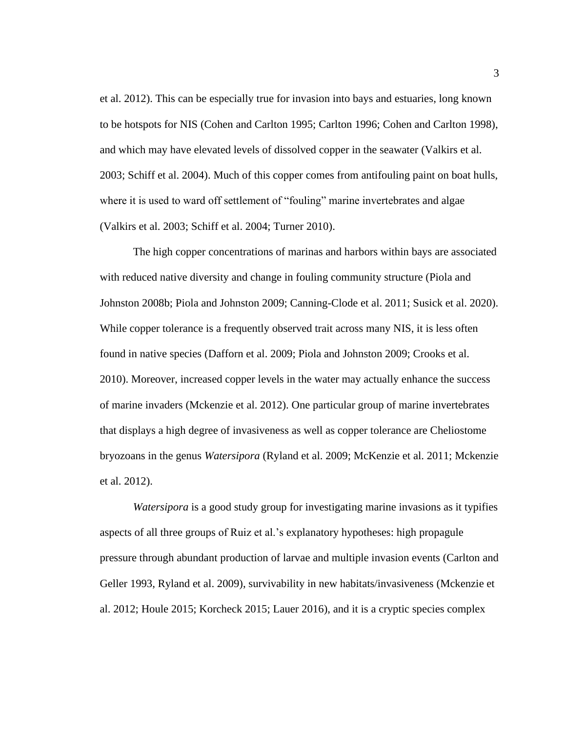et al. 2012). This can be especially true for invasion into bays and estuaries, long known to be hotspots for NIS (Cohen and Carlton 1995; Carlton 1996; Cohen and Carlton 1998), and which may have elevated levels of dissolved copper in the seawater (Valkirs et al. 2003; Schiff et al. 2004). Much of this copper comes from antifouling paint on boat hulls, where it is used to ward off settlement of "fouling" marine invertebrates and algae (Valkirs et al. 2003; Schiff et al. 2004; Turner 2010).

The high copper concentrations of marinas and harbors within bays are associated with reduced native diversity and change in fouling community structure (Piola and Johnston 2008b; Piola and Johnston 2009; Canning-Clode et al. 2011; Susick et al. 2020). While copper tolerance is a frequently observed trait across many NIS, it is less often found in native species (Dafforn et al. 2009; Piola and Johnston 2009; Crooks et al. 2010). Moreover, increased copper levels in the water may actually enhance the success of marine invaders (Mckenzie et al. 2012). One particular group of marine invertebrates that displays a high degree of invasiveness as well as copper tolerance are Cheliostome bryozoans in the genus *Watersipora* (Ryland et al. 2009; McKenzie et al. 2011; Mckenzie et al. 2012).

*Watersipora* is a good study group for investigating marine invasions as it typifies aspects of all three groups of Ruiz et al.'s explanatory hypotheses: high propagule pressure through abundant production of larvae and multiple invasion events (Carlton and Geller 1993, Ryland et al. 2009), survivability in new habitats/invasiveness (Mckenzie et al. 2012; Houle 2015; Korcheck 2015; Lauer 2016), and it is a cryptic species complex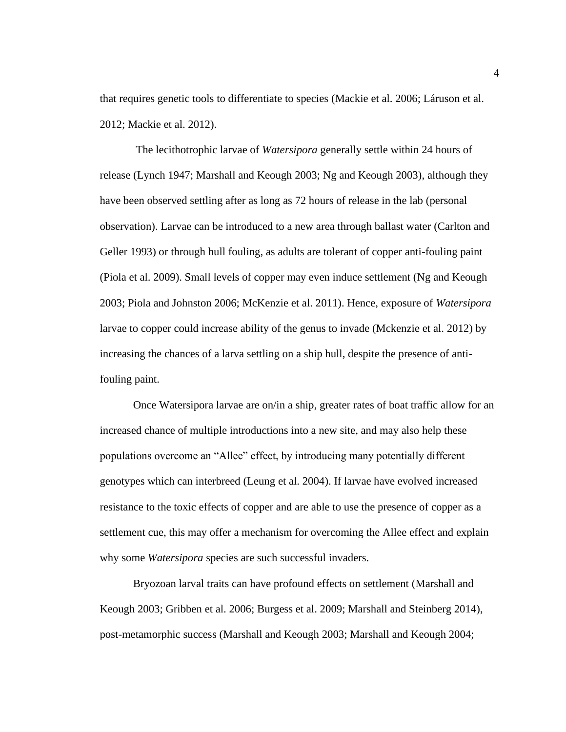that requires genetic tools to differentiate to species (Mackie et al. 2006; Láruson et al. 2012; Mackie et al. 2012).

The lecithotrophic larvae of *Watersipora* generally settle within 24 hours of release (Lynch 1947; Marshall and Keough 2003; Ng and Keough 2003), although they have been observed settling after as long as 72 hours of release in the lab (personal observation). Larvae can be introduced to a new area through ballast water (Carlton and Geller 1993) or through hull fouling, as adults are tolerant of copper anti-fouling paint (Piola et al. 2009). Small levels of copper may even induce settlement (Ng and Keough 2003; Piola and Johnston 2006; McKenzie et al. 2011). Hence, exposure of *Watersipora* larvae to copper could increase ability of the genus to invade (Mckenzie et al. 2012) by increasing the chances of a larva settling on a ship hull, despite the presence of antifouling paint.

Once Watersipora larvae are on/in a ship, greater rates of boat traffic allow for an increased chance of multiple introductions into a new site, and may also help these populations overcome an "Allee" effect, by introducing many potentially different genotypes which can interbreed (Leung et al. 2004). If larvae have evolved increased resistance to the toxic effects of copper and are able to use the presence of copper as a settlement cue, this may offer a mechanism for overcoming the Allee effect and explain why some *Watersipora* species are such successful invaders.

Bryozoan larval traits can have profound effects on settlement (Marshall and Keough 2003; Gribben et al. 2006; Burgess et al. 2009; Marshall and Steinberg 2014), post-metamorphic success (Marshall and Keough 2003; Marshall and Keough 2004;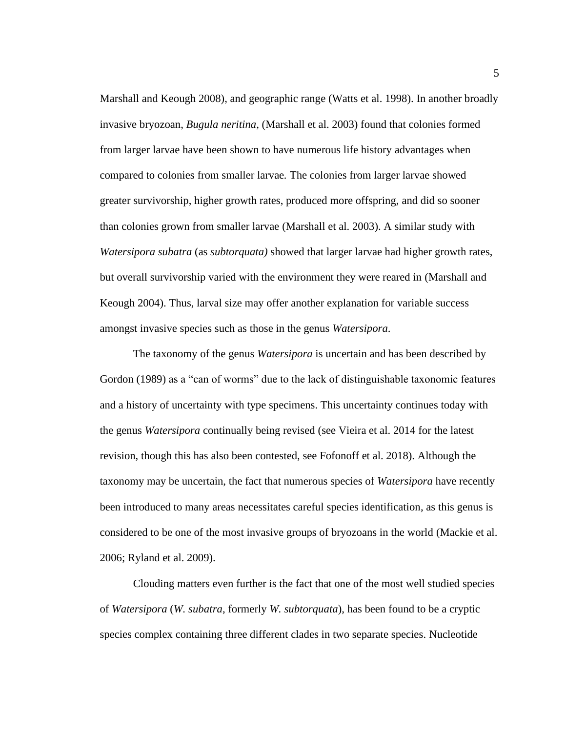Marshall and Keough 2008), and geographic range (Watts et al. 1998). In another broadly invasive bryozoan, *Bugula neritina,* (Marshall et al. 2003) found that colonies formed from larger larvae have been shown to have numerous life history advantages when compared to colonies from smaller larvae*.* The colonies from larger larvae showed greater survivorship, higher growth rates, produced more offspring, and did so sooner than colonies grown from smaller larvae (Marshall et al. 2003). A similar study with *Watersipora subatra* (as *subtorquata)* showed that larger larvae had higher growth rates, but overall survivorship varied with the environment they were reared in (Marshall and Keough 2004). Thus, larval size may offer another explanation for variable success amongst invasive species such as those in the genus *Watersipora*.

The taxonomy of the genus *Watersipora* is uncertain and has been described by Gordon (1989) as a "can of worms" due to the lack of distinguishable taxonomic features and a history of uncertainty with type specimens. This uncertainty continues today with the genus *Watersipora* continually being revised (see Vieira et al. 2014 for the latest revision, though this has also been contested, see Fofonoff et al. 2018). Although the taxonomy may be uncertain, the fact that numerous species of *Watersipora* have recently been introduced to many areas necessitates careful species identification, as this genus is considered to be one of the most invasive groups of bryozoans in the world (Mackie et al. 2006; Ryland et al. 2009).

Clouding matters even further is the fact that one of the most well studied species of *Watersipora* (*W. subatra*, formerly *W. subtorquata*), has been found to be a cryptic species complex containing three different clades in two separate species. Nucleotide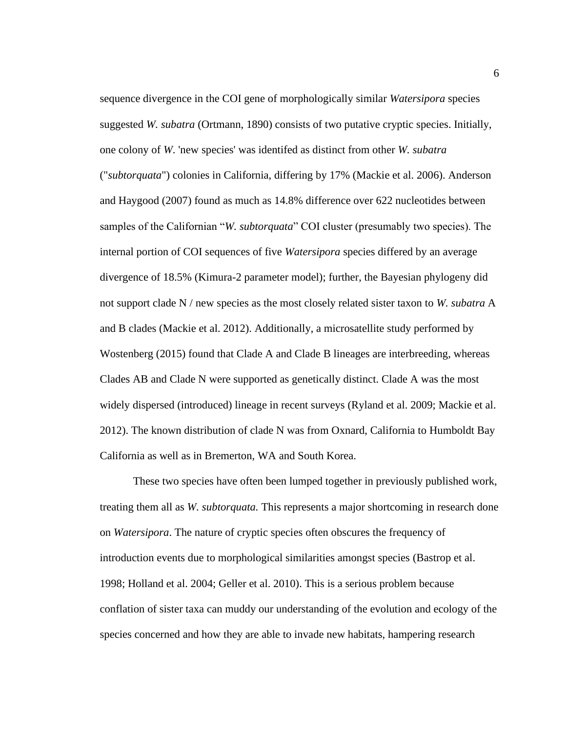sequence divergence in the COI gene of morphologically similar *Watersipora* species suggested *W. subatra* (Ortmann, 1890) consists of two putative cryptic species. Initially, one colony of *W*. 'new species' was identifed as distinct from other *W. subatra* ("*subtorquata*") colonies in California, differing by 17% (Mackie et al. 2006). Anderson and Haygood (2007) found as much as 14.8% difference over 622 nucleotides between samples of the Californian "*W. subtorquata*" COI cluster (presumably two species). The internal portion of COI sequences of five *Watersipora* species differed by an average divergence of 18.5% (Kimura-2 parameter model); further, the Bayesian phylogeny did not support clade N / new species as the most closely related sister taxon to *W. subatra* A and B clades (Mackie et al. 2012). Additionally, a microsatellite study performed by Wostenberg (2015) found that Clade A and Clade B lineages are interbreeding, whereas Clades AB and Clade N were supported as genetically distinct. Clade A was the most widely dispersed (introduced) lineage in recent surveys (Ryland et al. 2009; Mackie et al. 2012). The known distribution of clade N was from Oxnard, California to Humboldt Bay California as well as in Bremerton, WA and South Korea.

These two species have often been lumped together in previously published work, treating them all as *W. subtorquata.* This represents a major shortcoming in research done on *Watersipora*. The nature of cryptic species often obscures the frequency of introduction events due to morphological similarities amongst species (Bastrop et al. 1998; Holland et al. 2004; Geller et al. 2010). This is a serious problem because conflation of sister taxa can muddy our understanding of the evolution and ecology of the species concerned and how they are able to invade new habitats, hampering research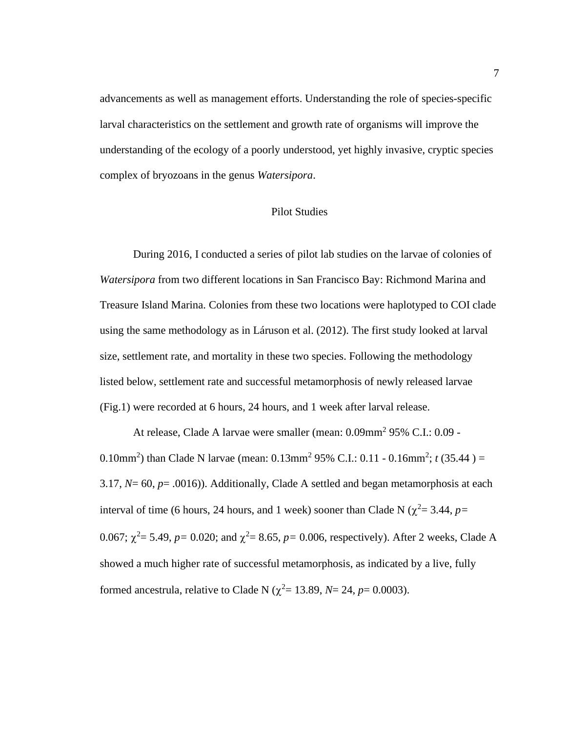advancements as well as management efforts. Understanding the role of species-specific larval characteristics on the settlement and growth rate of organisms will improve the understanding of the ecology of a poorly understood, yet highly invasive, cryptic species complex of bryozoans in the genus *Watersipora*.

#### Pilot Studies

<span id="page-17-0"></span>During 2016, I conducted a series of pilot lab studies on the larvae of colonies of *Watersipora* from two different locations in San Francisco Bay: Richmond Marina and Treasure Island Marina. Colonies from these two locations were haplotyped to COI clade using the same methodology as in Láruson et al. (2012). The first study looked at larval size, settlement rate, and mortality in these two species. Following the methodology listed below, settlement rate and successful metamorphosis of newly released larvae (Fig.1) were recorded at 6 hours, 24 hours, and 1 week after larval release.

At release, Clade A larvae were smaller (mean: 0.09mm<sup>2</sup> 95% C.I.: 0.09 -0.10mm<sup>2</sup>) than Clade N larvae (mean:  $0.13$ mm<sup>2</sup> 95% C.I.:  $0.11 - 0.16$ mm<sup>2</sup>;  $t$  (35.44) = 3.17,  $N=$  60,  $p=$  .0016)). Additionally, Clade A settled and began metamorphosis at each interval of time (6 hours, 24 hours, and 1 week) sooner than Clade N ( $\chi^2$  = 3.44, *p*= 0.067;  $\chi^2$  = 5.49, *p* = 0.020; and  $\chi^2$  = 8.65, *p* = 0.006, respectively). After 2 weeks, Clade A showed a much higher rate of successful metamorphosis, as indicated by a live, fully formed ancestrula, relative to Clade N ( $\chi^2$  = 13.89, *N* = 24, *p* = 0.0003).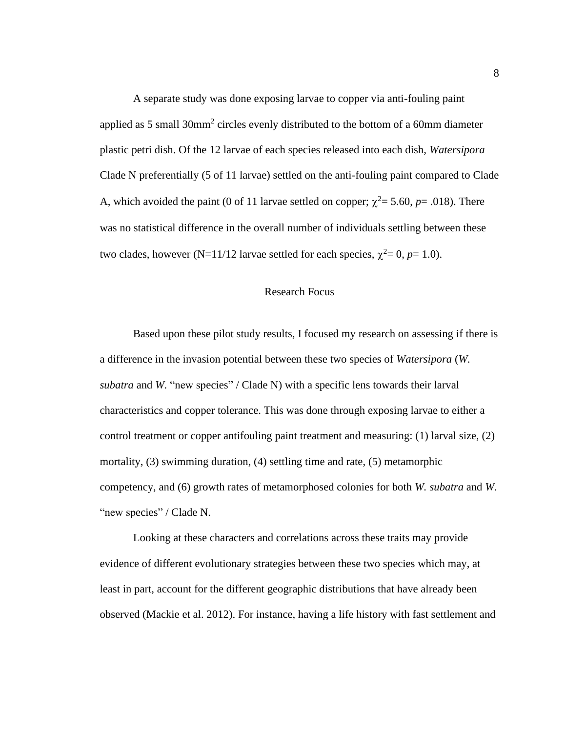A separate study was done exposing larvae to copper via anti-fouling paint applied as 5 small  $30 \text{mm}^2$  circles evenly distributed to the bottom of a 60mm diameter plastic petri dish. Of the 12 larvae of each species released into each dish, *Watersipora* Clade N preferentially (5 of 11 larvae) settled on the anti-fouling paint compared to Clade A, which avoided the paint (0 of 11 larvae settled on copper;  $\chi^2 = 5.60$ ,  $p = .018$ ). There was no statistical difference in the overall number of individuals settling between these two clades, however (N=11/12 larvae settled for each species,  $\chi^2 = 0$ ,  $p=1.0$ ).

# Research Focus

<span id="page-18-0"></span>Based upon these pilot study results, I focused my research on assessing if there is a difference in the invasion potential between these two species of *Watersipora* (*W. subatra* and *W.* "new species" / Clade N) with a specific lens towards their larval characteristics and copper tolerance. This was done through exposing larvae to either a control treatment or copper antifouling paint treatment and measuring: (1) larval size, (2) mortality, (3) swimming duration, (4) settling time and rate, (5) metamorphic competency, and (6) growth rates of metamorphosed colonies for both *W. subatra* and *W.*  "new species" / Clade N.

Looking at these characters and correlations across these traits may provide evidence of different evolutionary strategies between these two species which may, at least in part, account for the different geographic distributions that have already been observed (Mackie et al. 2012). For instance, having a life history with fast settlement and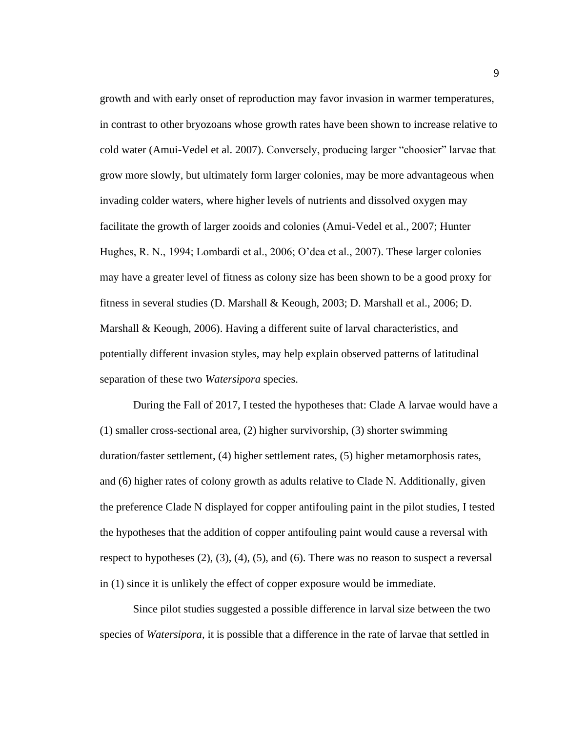growth and with early onset of reproduction may favor invasion in warmer temperatures, in contrast to other bryozoans whose growth rates have been shown to increase relative to cold water (Amui-Vedel et al. 2007). Conversely, producing larger "choosier" larvae that grow more slowly, but ultimately form larger colonies, may be more advantageous when invading colder waters, where higher levels of nutrients and dissolved oxygen may facilitate the growth of larger zooids and colonies (Amui-Vedel et al., 2007; Hunter Hughes, R. N., 1994; Lombardi et al., 2006; O'dea et al., 2007). These larger colonies may have a greater level of fitness as colony size has been shown to be a good proxy for fitness in several studies (D. Marshall & Keough, 2003; D. Marshall et al., 2006; D. Marshall & Keough, 2006). Having a different suite of larval characteristics, and potentially different invasion styles, may help explain observed patterns of latitudinal separation of these two *Watersipora* species.

During the Fall of 2017, I tested the hypotheses that: Clade A larvae would have a (1) smaller cross-sectional area, (2) higher survivorship, (3) shorter swimming duration/faster settlement, (4) higher settlement rates, (5) higher metamorphosis rates, and (6) higher rates of colony growth as adults relative to Clade N. Additionally, given the preference Clade N displayed for copper antifouling paint in the pilot studies, I tested the hypotheses that the addition of copper antifouling paint would cause a reversal with respect to hypotheses (2), (3), (4), (5), and (6). There was no reason to suspect a reversal in (1) since it is unlikely the effect of copper exposure would be immediate.

Since pilot studies suggested a possible difference in larval size between the two species of *Watersipora*, it is possible that a difference in the rate of larvae that settled in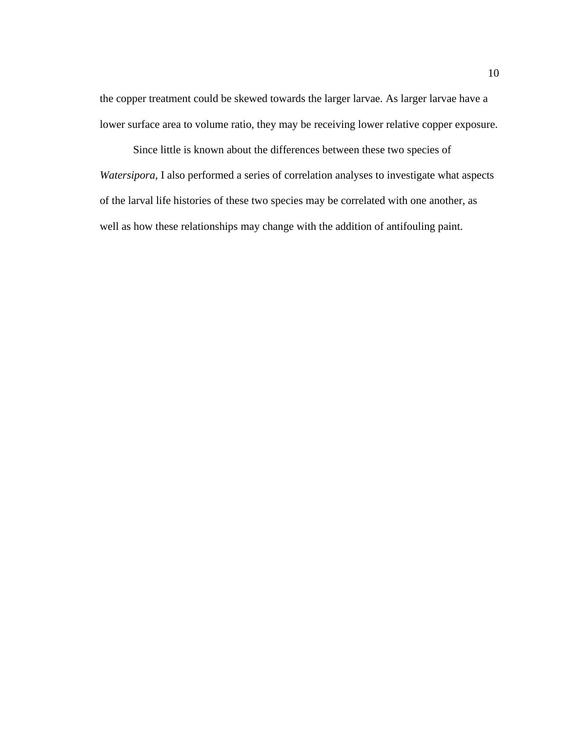the copper treatment could be skewed towards the larger larvae. As larger larvae have a lower surface area to volume ratio, they may be receiving lower relative copper exposure.

Since little is known about the differences between these two species of *Watersipora*, I also performed a series of correlation analyses to investigate what aspects of the larval life histories of these two species may be correlated with one another, as well as how these relationships may change with the addition of antifouling paint.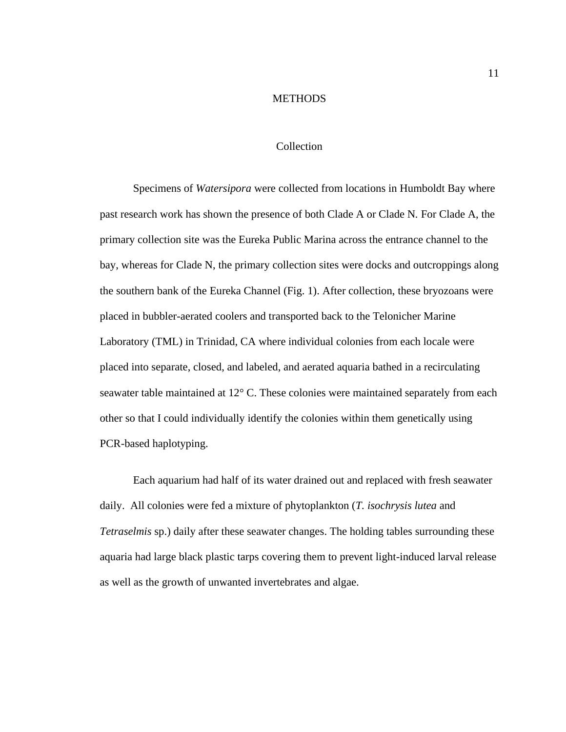#### **METHODS**

## Collection

<span id="page-21-1"></span><span id="page-21-0"></span>Specimens of *Watersipora* were collected from locations in Humboldt Bay where past research work has shown the presence of both Clade A or Clade N*.* For Clade A, the primary collection site was the Eureka Public Marina across the entrance channel to the bay, whereas for Clade N, the primary collection sites were docks and outcroppings along the southern bank of the Eureka Channel (Fig. 1). After collection, these bryozoans were placed in bubbler-aerated coolers and transported back to the Telonicher Marine Laboratory (TML) in Trinidad, CA where individual colonies from each locale were placed into separate, closed, and labeled, and aerated aquaria bathed in a recirculating seawater table maintained at 12° C. These colonies were maintained separately from each other so that I could individually identify the colonies within them genetically using PCR-based haplotyping.

Each aquarium had half of its water drained out and replaced with fresh seawater daily. All colonies were fed a mixture of phytoplankton (*T. isochrysis lutea* and *Tetraselmis* sp.) daily after these seawater changes. The holding tables surrounding these aquaria had large black plastic tarps covering them to prevent light-induced larval release as well as the growth of unwanted invertebrates and algae.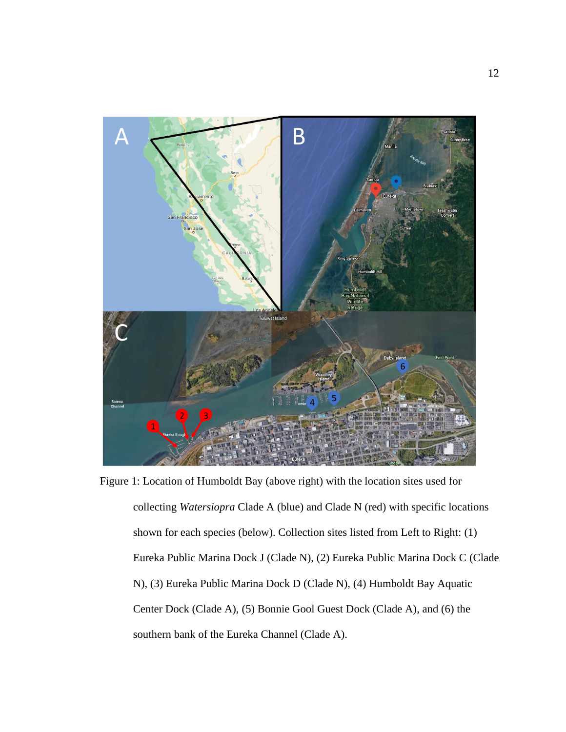<span id="page-22-0"></span>

Figure 1: Location of Humboldt Bay (above right) with the location sites used for collecting *Watersiopra* Clade A (blue) and Clade N (red) with specific locations shown for each species (below). Collection sites listed from Left to Right: (1) Eureka Public Marina Dock J (Clade N), (2) Eureka Public Marina Dock C (Clade N), (3) Eureka Public Marina Dock D (Clade N), (4) Humboldt Bay Aquatic Center Dock (Clade A), (5) Bonnie Gool Guest Dock (Clade A), and (6) the southern bank of the Eureka Channel (Clade A).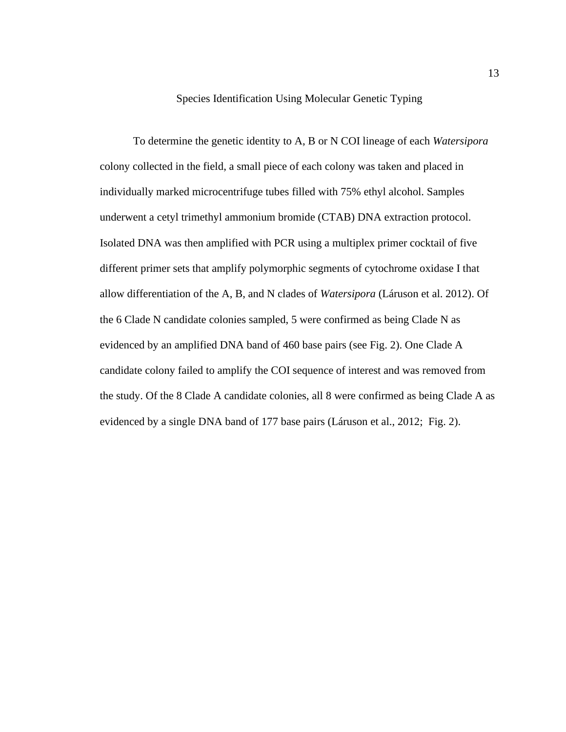#### Species Identification Using Molecular Genetic Typing

<span id="page-23-0"></span>To determine the genetic identity to A, B or N COI lineage of each *Watersipora* colony collected in the field, a small piece of each colony was taken and placed in individually marked microcentrifuge tubes filled with 75% ethyl alcohol. Samples underwent a cetyl trimethyl ammonium bromide (CTAB) DNA extraction protocol. Isolated DNA was then amplified with PCR using a multiplex primer cocktail of five different primer sets that amplify polymorphic segments of cytochrome oxidase I that allow differentiation of the A, B, and N clades of *Watersipora* (Láruson et al. 2012). Of the 6 Clade N candidate colonies sampled, 5 were confirmed as being Clade N as evidenced by an amplified DNA band of 460 base pairs (see Fig. 2). One Clade A candidate colony failed to amplify the COI sequence of interest and was removed from the study. Of the 8 Clade A candidate colonies, all 8 were confirmed as being Clade A as evidenced by a single DNA band of 177 base pairs (Láruson et al., 2012; Fig. 2).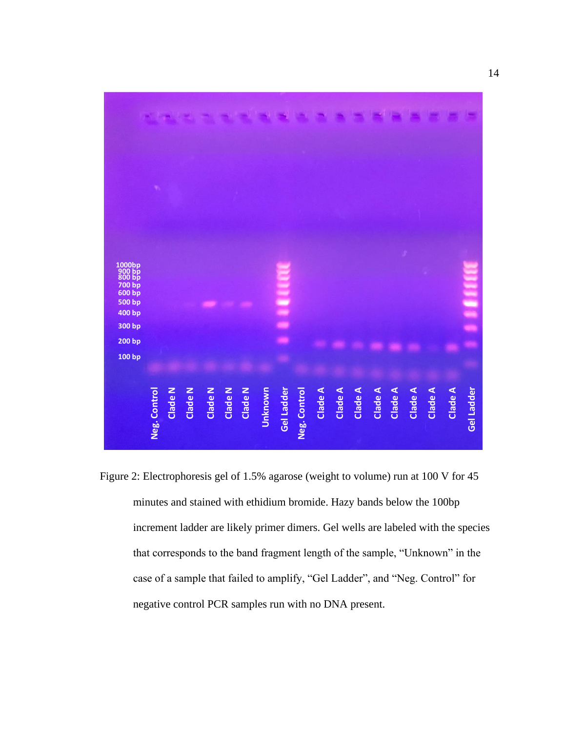

<span id="page-24-0"></span>Figure 2: Electrophoresis gel of 1.5% agarose (weight to volume) run at 100 V for 45 minutes and stained with ethidium bromide. Hazy bands below the 100bp increment ladder are likely primer dimers. Gel wells are labeled with the species that corresponds to the band fragment length of the sample, "Unknown" in the case of a sample that failed to amplify, "Gel Ladder", and "Neg. Control" for negative control PCR samples run with no DNA present.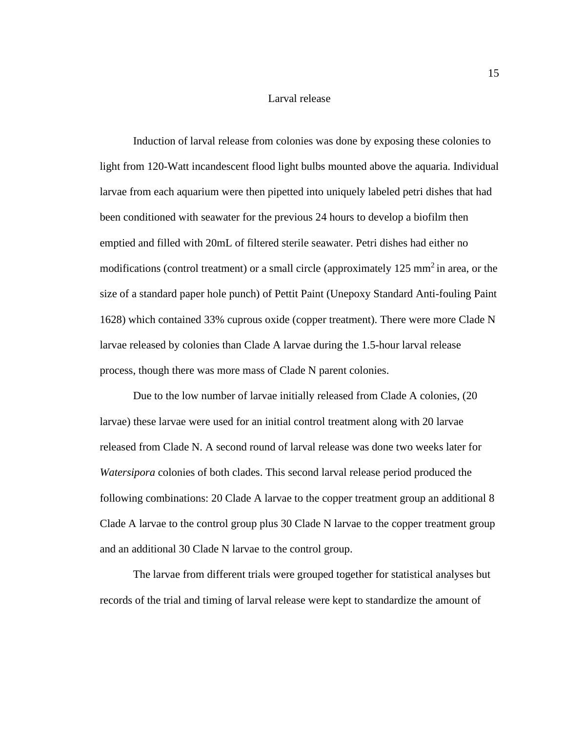#### Larval release

<span id="page-25-0"></span>Induction of larval release from colonies was done by exposing these colonies to light from 120-Watt incandescent flood light bulbs mounted above the aquaria. Individual larvae from each aquarium were then pipetted into uniquely labeled petri dishes that had been conditioned with seawater for the previous 24 hours to develop a biofilm then emptied and filled with 20mL of filtered sterile seawater. Petri dishes had either no modifications (control treatment) or a small circle (approximately  $125 \text{ mm}^2$  in area, or the size of a standard paper hole punch) of Pettit Paint (Unepoxy Standard Anti-fouling Paint 1628) which contained 33% cuprous oxide (copper treatment). There were more Clade N larvae released by colonies than Clade A larvae during the 1.5-hour larval release process, though there was more mass of Clade N parent colonies.

Due to the low number of larvae initially released from Clade A colonies, (20 larvae) these larvae were used for an initial control treatment along with 20 larvae released from Clade N. A second round of larval release was done two weeks later for *Watersipora* colonies of both clades. This second larval release period produced the following combinations: 20 Clade A larvae to the copper treatment group an additional 8 Clade A larvae to the control group plus 30 Clade N larvae to the copper treatment group and an additional 30 Clade N larvae to the control group.

The larvae from different trials were grouped together for statistical analyses but records of the trial and timing of larval release were kept to standardize the amount of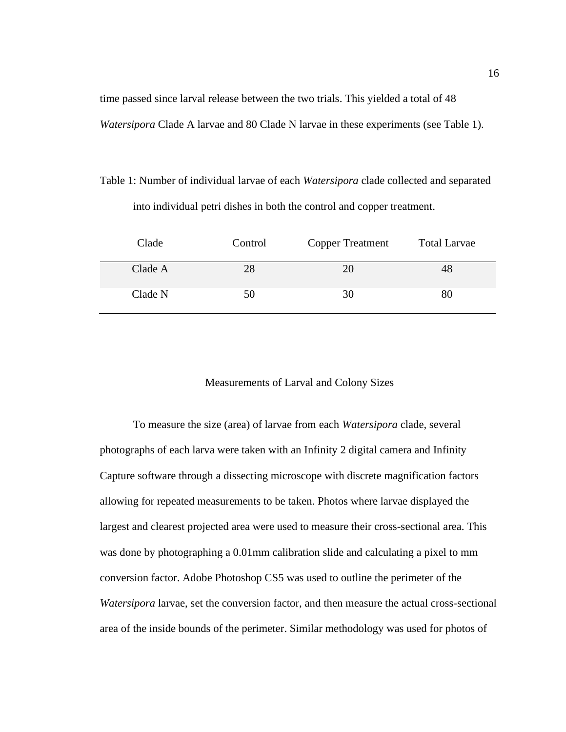time passed since larval release between the two trials. This yielded a total of 48 *Watersipora* Clade A larvae and 80 Clade N larvae in these experiments (see Table 1).

<span id="page-26-1"></span>Table 1: Number of individual larvae of each *Watersipora* clade collected and separated into individual petri dishes in both the control and copper treatment.

| Clade   | Control | <b>Copper Treatment</b> | <b>Total Larvae</b> |
|---------|---------|-------------------------|---------------------|
| Clade A | 28      | 20                      |                     |
| Clade N | 50      | 30                      |                     |

#### Measurements of Larval and Colony Sizes

<span id="page-26-0"></span>To measure the size (area) of larvae from each *Watersipora* clade, several photographs of each larva were taken with an Infinity 2 digital camera and Infinity Capture software through a dissecting microscope with discrete magnification factors allowing for repeated measurements to be taken. Photos where larvae displayed the largest and clearest projected area were used to measure their cross-sectional area. This was done by photographing a 0.01mm calibration slide and calculating a pixel to mm conversion factor. Adobe Photoshop CS5 was used to outline the perimeter of the *Watersipora* larvae, set the conversion factor, and then measure the actual cross-sectional area of the inside bounds of the perimeter. Similar methodology was used for photos of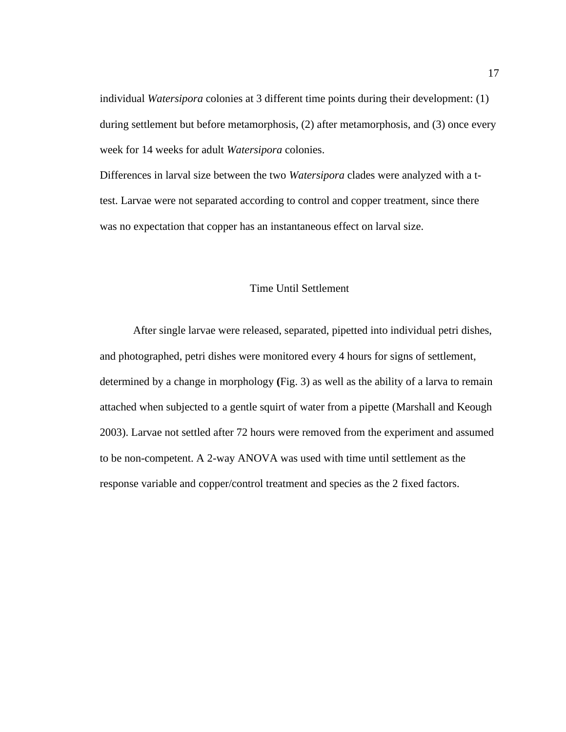individual *Watersipora* colonies at 3 different time points during their development: (1) during settlement but before metamorphosis, (2) after metamorphosis, and (3) once every week for 14 weeks for adult *Watersipora* colonies.

Differences in larval size between the two *Watersipora* clades were analyzed with a ttest. Larvae were not separated according to control and copper treatment, since there was no expectation that copper has an instantaneous effect on larval size.

#### Time Until Settlement

<span id="page-27-0"></span>After single larvae were released, separated, pipetted into individual petri dishes, and photographed, petri dishes were monitored every 4 hours for signs of settlement, determined by a change in morphology **(**Fig. 3) as well as the ability of a larva to remain attached when subjected to a gentle squirt of water from a pipette (Marshall and Keough 2003). Larvae not settled after 72 hours were removed from the experiment and assumed to be non-competent. A 2-way ANOVA was used with time until settlement as the response variable and copper/control treatment and species as the 2 fixed factors.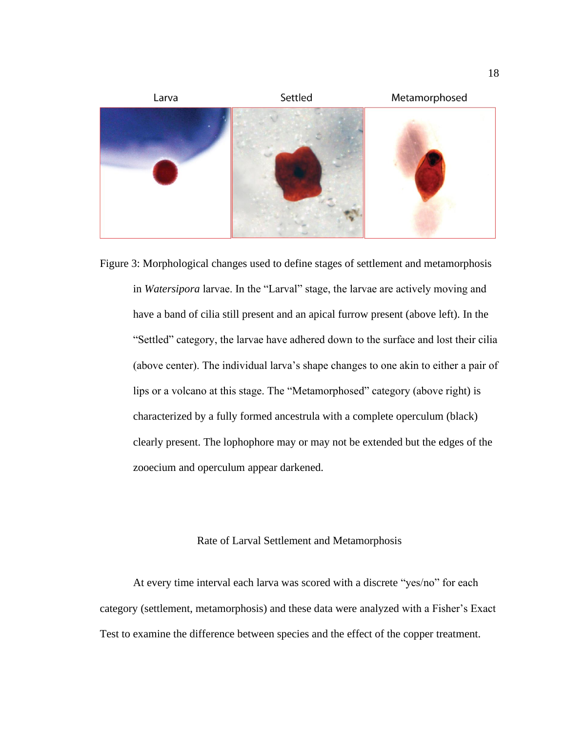

<span id="page-28-1"></span>Figure 3: Morphological changes used to define stages of settlement and metamorphosis in *Watersipora* larvae. In the "Larval" stage, the larvae are actively moving and have a band of cilia still present and an apical furrow present (above left). In the "Settled" category, the larvae have adhered down to the surface and lost their cilia (above center). The individual larva's shape changes to one akin to either a pair of lips or a volcano at this stage. The "Metamorphosed" category (above right) is characterized by a fully formed ancestrula with a complete operculum (black) clearly present. The lophophore may or may not be extended but the edges of the zooecium and operculum appear darkened.

## Rate of Larval Settlement and Metamorphosis

<span id="page-28-0"></span>At every time interval each larva was scored with a discrete "yes/no" for each category (settlement, metamorphosis) and these data were analyzed with a Fisher's Exact Test to examine the difference between species and the effect of the copper treatment.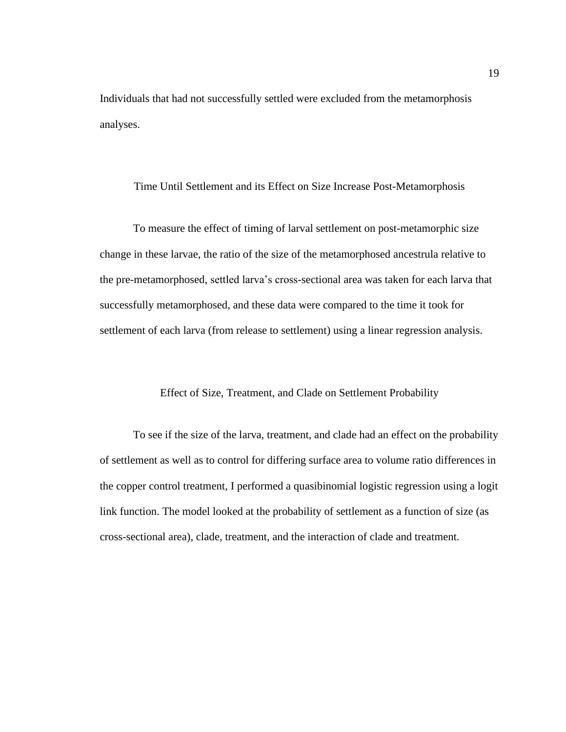Individuals that had not successfully settled were excluded from the metamorphosis analyses.

#### <span id="page-29-0"></span>Time Until Settlement and its Effect on Size Increase Post-Metamorphosis

To measure the effect of timing of larval settlement on post-metamorphic size change in these larvae, the ratio of the size of the metamorphosed ancestrula relative to the pre-metamorphosed, settled larva's cross-sectional area was taken for each larva that successfully metamorphosed, and these data were compared to the time it took for settlement of each larva (from release to settlement) using a linear regression analysis.

#### Effect of Size, Treatment, and Clade on Settlement Probability

<span id="page-29-1"></span>To see if the size of the larva, treatment, and clade had an effect on the probability of settlement as well as to control for differing surface area to volume ratio differences in the copper control treatment, I performed a quasibinomial logistic regression using a logit link function. The model looked at the probability of settlement as a function of size (as cross-sectional area), clade, treatment, and the interaction of clade and treatment.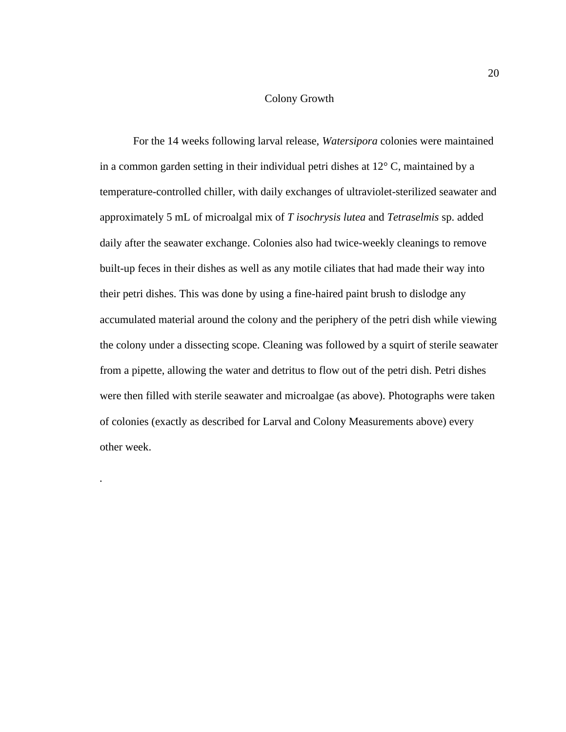# Colony Growth

<span id="page-30-0"></span>For the 14 weeks following larval release, *Watersipora* colonies were maintained in a common garden setting in their individual petri dishes at 12° C, maintained by a temperature-controlled chiller, with daily exchanges of ultraviolet-sterilized seawater and approximately 5 mL of microalgal mix of *T isochrysis lutea* and *Tetraselmis* sp. added daily after the seawater exchange. Colonies also had twice-weekly cleanings to remove built-up feces in their dishes as well as any motile ciliates that had made their way into their petri dishes. This was done by using a fine-haired paint brush to dislodge any accumulated material around the colony and the periphery of the petri dish while viewing the colony under a dissecting scope. Cleaning was followed by a squirt of sterile seawater from a pipette, allowing the water and detritus to flow out of the petri dish. Petri dishes were then filled with sterile seawater and microalgae (as above). Photographs were taken of colonies (exactly as described for Larval and Colony Measurements above) every other week.

*.*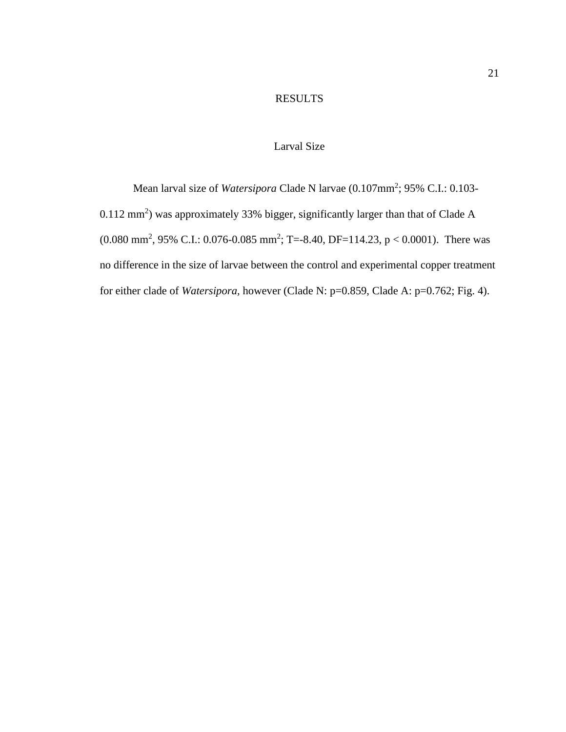# RESULTS

# Larval Size

<span id="page-31-1"></span><span id="page-31-0"></span>Mean larval size of *Watersipora* Clade N larvae (0.107mm<sup>2</sup>; 95% C.I.: 0.103-0.112 mm<sup>2</sup>) was approximately 33% bigger, significantly larger than that of Clade A  $(0.080 \text{ mm}^2, 95\% \text{ C.L.}: 0.076 \text{--} 0.085 \text{ mm}^2; \text{T} = -8.40, \text{DF} = 114.23, \text{p} < 0.0001).$  There was no difference in the size of larvae between the control and experimental copper treatment for either clade of *Watersipora,* however (Clade N: p=0.859, Clade A: p=0.762; Fig. 4).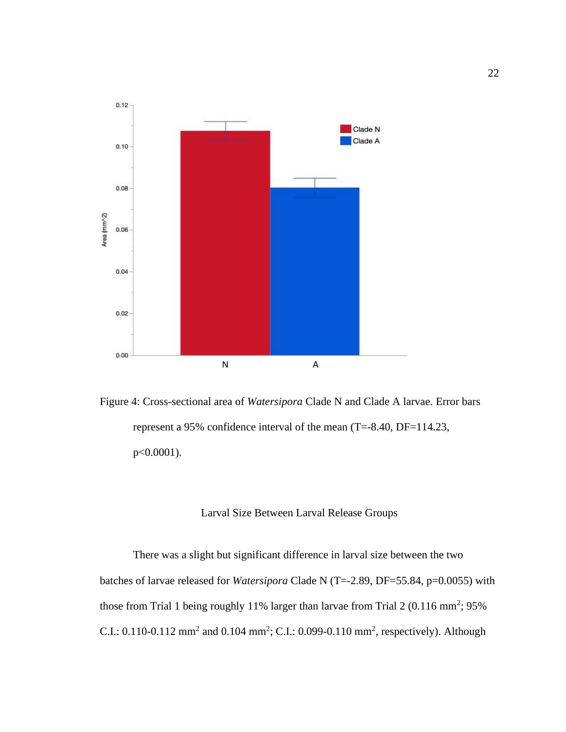

<span id="page-32-1"></span>Figure 4: Cross-sectional area of *Watersipora* Clade N and Clade A larvae. Error bars represent a 95% confidence interval of the mean (T=-8.40, DF=114.23, p<0.0001).

# Larval Size Between Larval Release Groups

<span id="page-32-0"></span>There was a slight but significant difference in larval size between the two batches of larvae released for *Watersipora* Clade N (T=-2.89, DF=55.84, p=0.0055) with those from Trial 1 being roughly 11% larger than larvae from Trial 2 (0.116 mm<sup>2</sup>; 95% C.I.: 0.110-0.112 mm<sup>2</sup> and 0.104 mm<sup>2</sup>; C.I.: 0.099-0.110 mm<sup>2</sup>, respectively). Although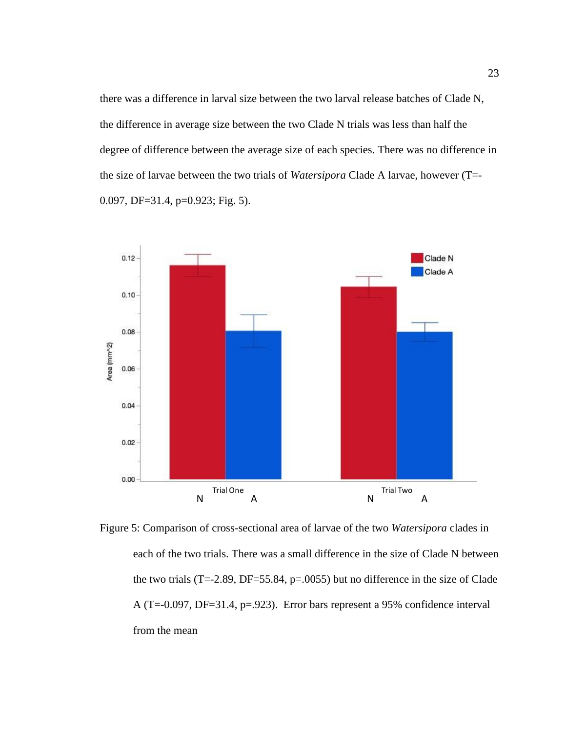there was a difference in larval size between the two larval release batches of Clade N, the difference in average size between the two Clade N trials was less than half the degree of difference between the average size of each species. There was no difference in the size of larvae between the two trials of *Watersipora* Clade A larvae, however (T=- 0.097, DF=31.4, p=0.923; Fig. 5).



<span id="page-33-0"></span>Figure 5: Comparison of cross-sectional area of larvae of the two *Watersipora* clades in each of the two trials. There was a small difference in the size of Clade N between the two trials (T=-2.89, DF=55.84,  $p=0.0055$ ) but no difference in the size of Clade A (T=-0.097, DF=31.4, p=.923). Error bars represent a 95% confidence interval from the mean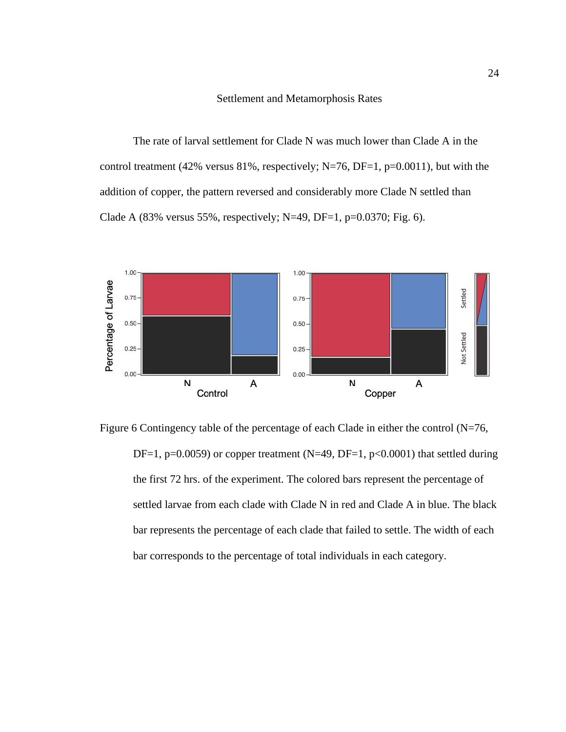#### Settlement and Metamorphosis Rates

<span id="page-34-0"></span>The rate of larval settlement for Clade N was much lower than Clade A in the control treatment (42% versus 81%, respectively; N=76, DF=1, p=0.0011), but with the addition of copper, the pattern reversed and considerably more Clade N settled than Clade A (83% versus 55%, respectively; N=49, DF=1,  $p=0.0370$ ; Fig. 6).



<span id="page-34-1"></span>Figure 6 Contingency table of the percentage of each Clade in either the control (N=76, DF=1, p=0.0059) or copper treatment (N=49, DF=1, p<0.0001) that settled during the first 72 hrs. of the experiment. The colored bars represent the percentage of settled larvae from each clade with Clade N in red and Clade A in blue. The black bar represents the percentage of each clade that failed to settle. The width of each bar corresponds to the percentage of total individuals in each category.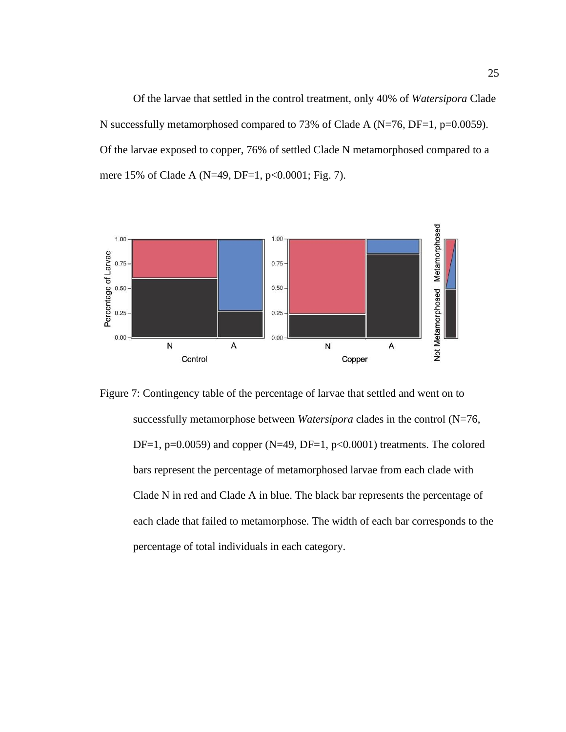Of the larvae that settled in the control treatment, only 40% of *Watersipora* Clade N successfully metamorphosed compared to 73% of Clade A (N=76, DF=1, p=0.0059). Of the larvae exposed to copper, 76% of settled Clade N metamorphosed compared to a mere 15% of Clade A (N=49, DF=1, p<0.0001; Fig. 7).



<span id="page-35-0"></span>Figure 7: Contingency table of the percentage of larvae that settled and went on to successfully metamorphose between *Watersipora* clades in the control (N=76, DF=1, p=0.0059) and copper (N=49, DF=1, p<0.0001) treatments. The colored bars represent the percentage of metamorphosed larvae from each clade with Clade N in red and Clade A in blue. The black bar represents the percentage of each clade that failed to metamorphose. The width of each bar corresponds to the percentage of total individuals in each category.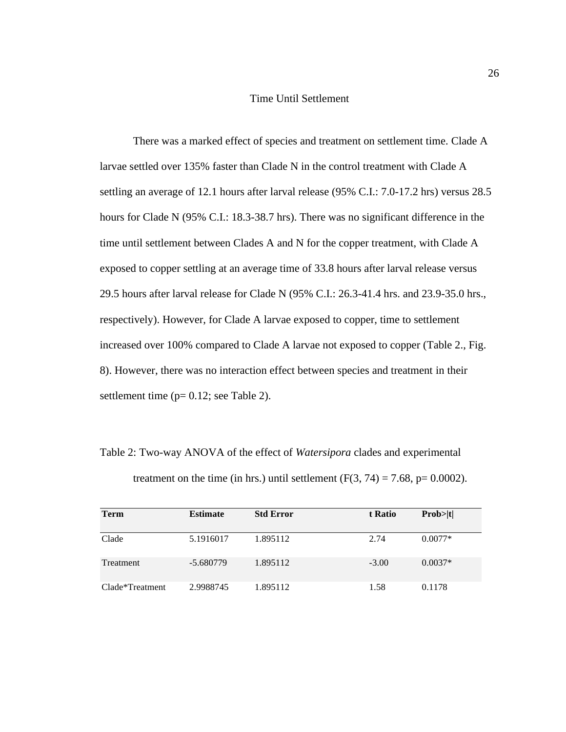# Time Until Settlement

<span id="page-36-0"></span>There was a marked effect of species and treatment on settlement time. Clade A larvae settled over 135% faster than Clade N in the control treatment with Clade A settling an average of 12.1 hours after larval release (95% C.I.: 7.0-17.2 hrs) versus 28.5 hours for Clade N (95% C.I.: 18.3-38.7 hrs). There was no significant difference in the time until settlement between Clades A and N for the copper treatment, with Clade A exposed to copper settling at an average time of 33.8 hours after larval release versus 29.5 hours after larval release for Clade N (95% C.I.: 26.3-41.4 hrs. and 23.9-35.0 hrs., respectively). However, for Clade A larvae exposed to copper, time to settlement increased over 100% compared to Clade A larvae not exposed to copper (Table 2., Fig. 8). However, there was no interaction effect between species and treatment in their settlement time (p= 0.12; see Table 2).

<span id="page-36-1"></span>Table 2: Two-way ANOVA of the effect of *Watersipora* clades and experimental treatment on the time (in hrs.) until settlement  $(F(3, 74) = 7.68, p= 0.0002)$ .

| <b>Term</b>      | <b>Estimate</b> | <b>Std Error</b> | t Ratio | Prob >  t |
|------------------|-----------------|------------------|---------|-----------|
| Clade            | 5.1916017       | 1.895112         | 2.74    | $0.0077*$ |
| <b>Treatment</b> | -5.680779       | 1.895112         | $-3.00$ | $0.0037*$ |
| Clade*Treatment  | 2.9988745       | 1.895112         | 1.58    | 0.1178    |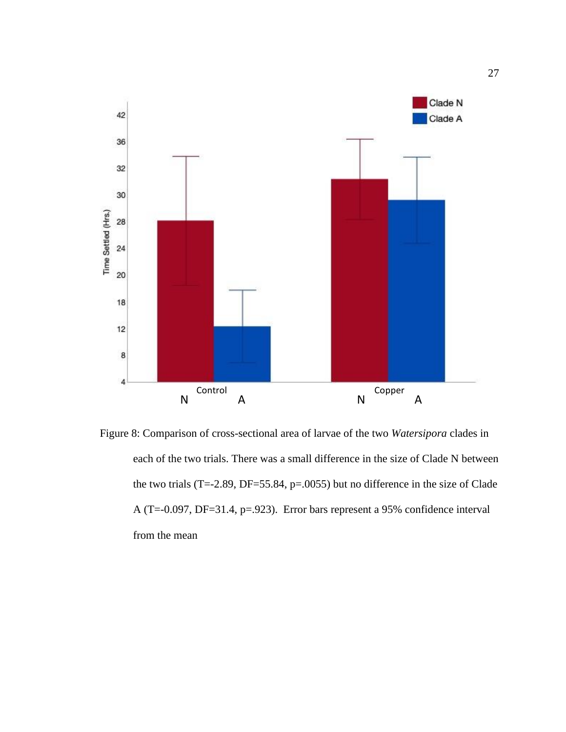

<span id="page-37-0"></span>Figure 8: Comparison of cross-sectional area of larvae of the two *Watersipora* clades in each of the two trials. There was a small difference in the size of Clade N between the two trials (T=-2.89, DF=55.84, p=.0055) but no difference in the size of Clade A (T=-0.097, DF=31.4, p=.923). Error bars represent a 95% confidence interval from the mean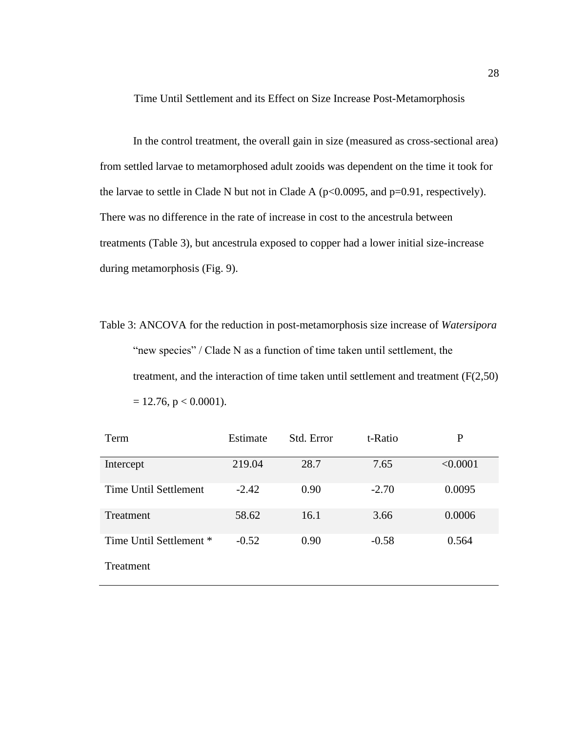<span id="page-38-0"></span>Time Until Settlement and its Effect on Size Increase Post-Metamorphosis

In the control treatment, the overall gain in size (measured as cross-sectional area) from settled larvae to metamorphosed adult zooids was dependent on the time it took for the larvae to settle in Clade N but not in Clade A ( $p<0.0095$ , and  $p=0.91$ , respectively). There was no difference in the rate of increase in cost to the ancestrula between treatments (Table 3), but ancestrula exposed to copper had a lower initial size-increase during metamorphosis (Fig. 9).

<span id="page-38-1"></span>Table 3: ANCOVA for the reduction in post-metamorphosis size increase of *Watersipora* "new species" / Clade N as a function of time taken until settlement, the treatment, and the interaction of time taken until settlement and treatment (F(2,50)  $= 12.76$ , p  $< 0.0001$ ).

| Estimate | Std. Error | t-Ratio | P        |
|----------|------------|---------|----------|
| 219.04   | 28.7       | 7.65    | < 0.0001 |
| $-2.42$  | 0.90       | $-2.70$ | 0.0095   |
| 58.62    | 16.1       | 3.66    | 0.0006   |
| $-0.52$  | 0.90       | $-0.58$ | 0.564    |
|          |            |         |          |
|          |            |         |          |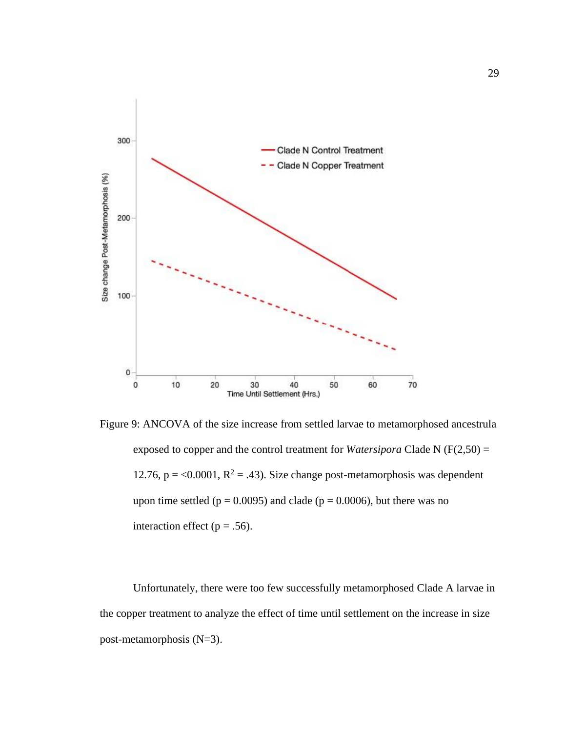

<span id="page-39-0"></span>Figure 9: ANCOVA of the size increase from settled larvae to metamorphosed ancestrula exposed to copper and the control treatment for *Watersipora* Clade N (F(2,50) = 12.76, p = <0.0001,  $R^2$  = .43). Size change post-metamorphosis was dependent upon time settled ( $p = 0.0095$ ) and clade ( $p = 0.0006$ ), but there was no interaction effect ( $p = .56$ ).

Unfortunately, there were too few successfully metamorphosed Clade A larvae in the copper treatment to analyze the effect of time until settlement on the increase in size post-metamorphosis (N=3).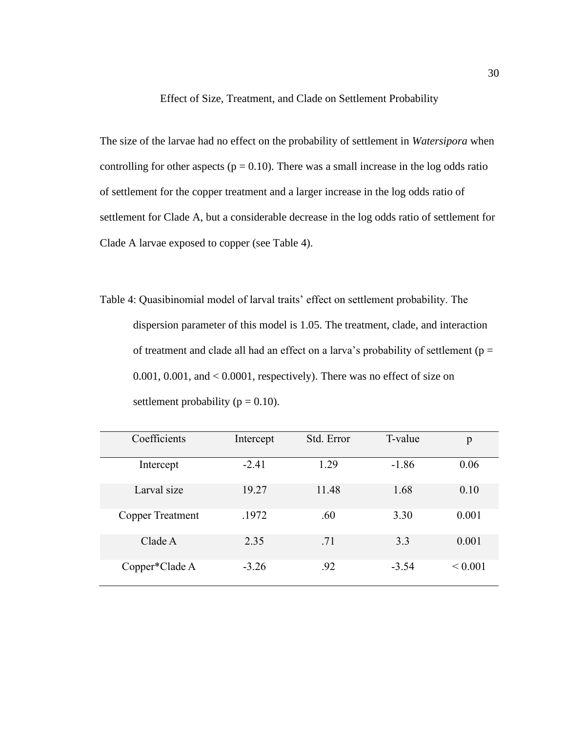Effect of Size, Treatment, and Clade on Settlement Probability

<span id="page-40-0"></span>The size of the larvae had no effect on the probability of settlement in *Watersipora* when controlling for other aspects ( $p = 0.10$ ). There was a small increase in the log odds ratio of settlement for the copper treatment and a larger increase in the log odds ratio of settlement for Clade A, but a considerable decrease in the log odds ratio of settlement for Clade A larvae exposed to copper (see Table 4).

<span id="page-40-1"></span>Table 4: Quasibinomial model of larval traits' effect on settlement probability. The dispersion parameter of this model is 1.05. The treatment, clade, and interaction of treatment and clade all had an effect on a larva's probability of settlement ( $p =$ 0.001, 0.001, and < 0.0001, respectively). There was no effect of size on settlement probability ( $p = 0.10$ ).

| Coefficients     | Intercept | Std. Error | T-value | p           |
|------------------|-----------|------------|---------|-------------|
| Intercept        | $-2.41$   | 1.29       | $-1.86$ | 0.06        |
| Larval size      | 19.27     | 11.48      | 1.68    | 0.10        |
| Copper Treatment | .1972     | .60        | 3.30    | 0.001       |
| Clade A          | 2.35      | .71        | 3.3     | 0.001       |
| Copper*Clade A   | $-3.26$   | .92        | $-3.54$ | ${}< 0.001$ |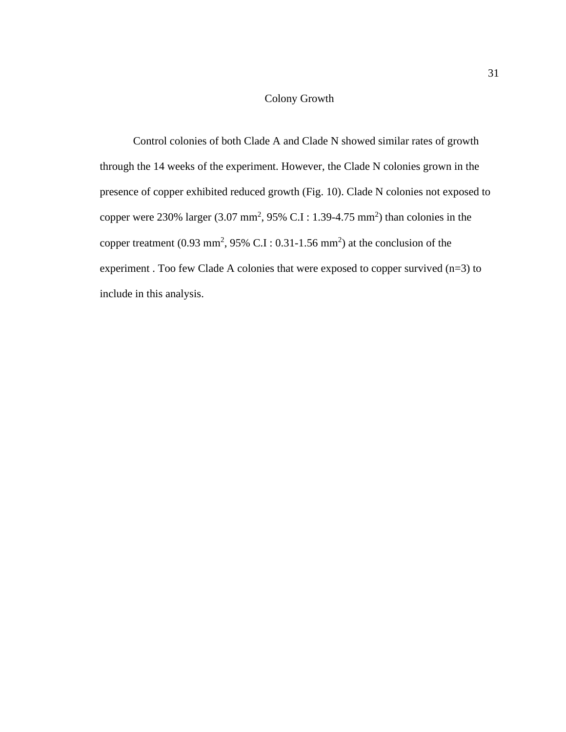# Colony Growth

<span id="page-41-0"></span>Control colonies of both Clade A and Clade N showed similar rates of growth through the 14 weeks of the experiment. However, the Clade N colonies grown in the presence of copper exhibited reduced growth (Fig. 10). Clade N colonies not exposed to copper were 230% larger  $(3.07 \text{ mm}^2, 95\% \text{ C.I} : 1.39-4.75 \text{ mm}^2)$  than colonies in the copper treatment  $(0.93 \text{ mm}^2, 95\% \text{ C.I} : 0.31 - 1.56 \text{ mm}^2)$  at the conclusion of the experiment . Too few Clade A colonies that were exposed to copper survived (n=3) to include in this analysis.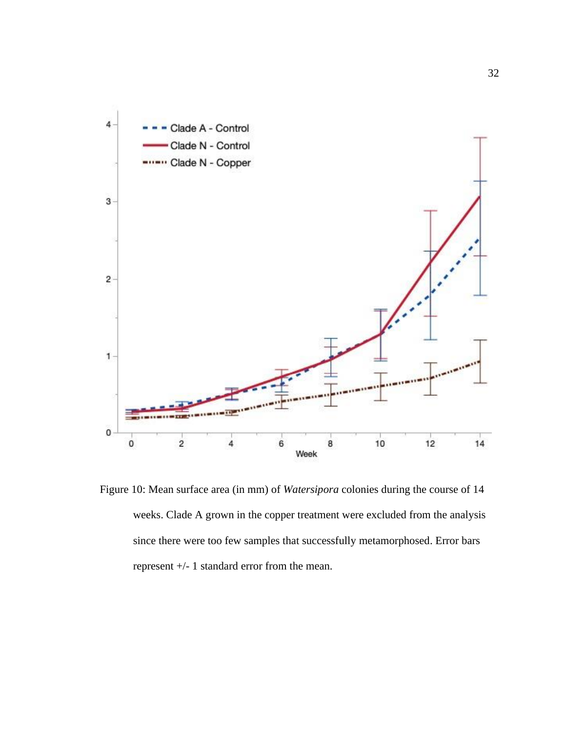

<span id="page-42-0"></span>Figure 10: Mean surface area (in mm) of *Watersipora* colonies during the course of 14 weeks. Clade A grown in the copper treatment were excluded from the analysis since there were too few samples that successfully metamorphosed. Error bars represent +/- 1 standard error from the mean.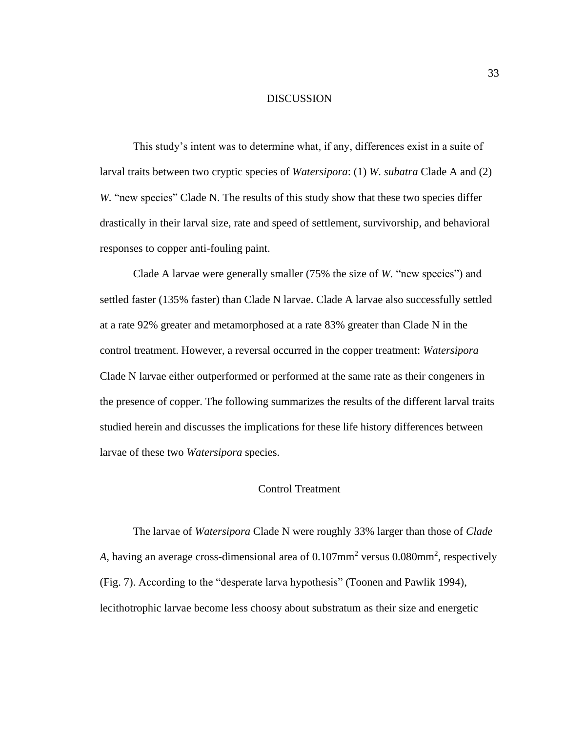#### DISCUSSION

<span id="page-43-0"></span>This study's intent was to determine what, if any, differences exist in a suite of larval traits between two cryptic species of *Watersipora*: (1) *W. subatra* Clade A and (2) *W.* "new species" Clade N. The results of this study show that these two species differ drastically in their larval size, rate and speed of settlement, survivorship, and behavioral responses to copper anti-fouling paint.

Clade A larvae were generally smaller (75% the size of *W.* "new species") and settled faster (135% faster) than Clade N larvae. Clade A larvae also successfully settled at a rate 92% greater and metamorphosed at a rate 83% greater than Clade N in the control treatment. However, a reversal occurred in the copper treatment: *Watersipora*  Clade N larvae either outperformed or performed at the same rate as their congeners in the presence of copper. The following summarizes the results of the different larval traits studied herein and discusses the implications for these life history differences between larvae of these two *Watersipora* species.

## Control Treatment

<span id="page-43-1"></span>The larvae of *Watersipora* Clade N were roughly 33% larger than those of *Clade*  A, having an average cross-dimensional area of 0.107mm<sup>2</sup> versus 0.080mm<sup>2</sup>, respectively (Fig. 7). According to the "desperate larva hypothesis" (Toonen and Pawlik 1994), lecithotrophic larvae become less choosy about substratum as their size and energetic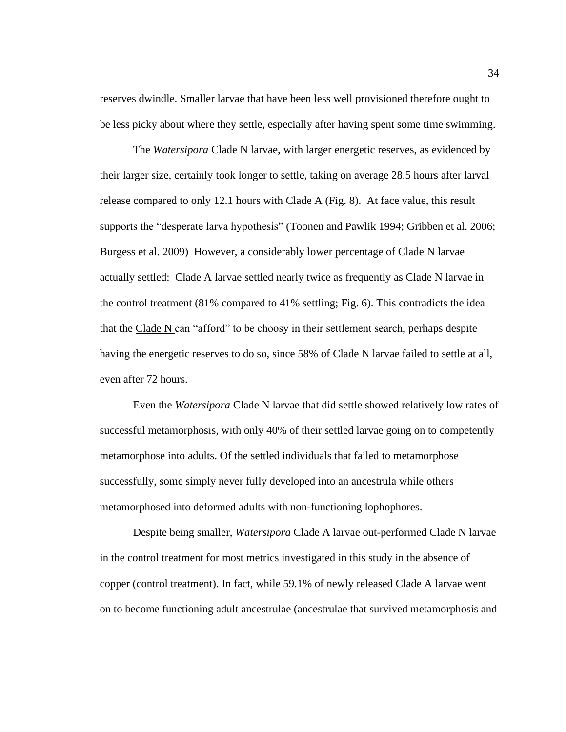reserves dwindle. Smaller larvae that have been less well provisioned therefore ought to be less picky about where they settle, especially after having spent some time swimming.

The *Watersipora* Clade N larvae, with larger energetic reserves, as evidenced by their larger size, certainly took longer to settle, taking on average 28.5 hours after larval release compared to only 12.1 hours with Clade A (Fig. 8). At face value, this result supports the "desperate larva hypothesis" (Toonen and Pawlik 1994; Gribben et al. 2006; Burgess et al. 2009) However, a considerably lower percentage of Clade N larvae actually settled: Clade A larvae settled nearly twice as frequently as Clade N larvae in the control treatment (81% compared to 41% settling; Fig. 6). This contradicts the idea that the Clade N can "afford" to be choosy in their settlement search, perhaps despite having the energetic reserves to do so, since 58% of Clade N larvae failed to settle at all, even after 72 hours.

Even the *Watersipora* Clade N larvae that did settle showed relatively low rates of successful metamorphosis, with only 40% of their settled larvae going on to competently metamorphose into adults. Of the settled individuals that failed to metamorphose successfully, some simply never fully developed into an ancestrula while others metamorphosed into deformed adults with non-functioning lophophores.

Despite being smaller, *Watersipora* Clade A larvae out-performed Clade N larvae in the control treatment for most metrics investigated in this study in the absence of copper (control treatment). In fact, while 59.1% of newly released Clade A larvae went on to become functioning adult ancestrulae (ancestrulae that survived metamorphosis and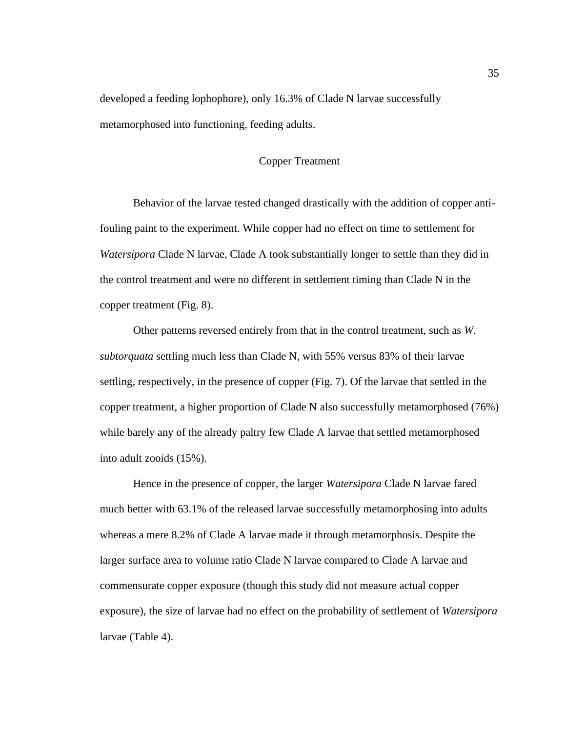<span id="page-45-0"></span>developed a feeding lophophore), only 16.3% of Clade N larvae successfully metamorphosed into functioning, feeding adults.

# Copper Treatment

Behavior of the larvae tested changed drastically with the addition of copper antifouling paint to the experiment. While copper had no effect on time to settlement for *Watersipora* Clade N larvae, Clade A took substantially longer to settle than they did in the control treatment and were no different in settlement timing than Clade N in the copper treatment (Fig. 8).

Other patterns reversed entirely from that in the control treatment, such as *W. subtorquata* settling much less than Clade N, with 55% versus 83% of their larvae settling, respectively, in the presence of copper (Fig. 7). Of the larvae that settled in the copper treatment, a higher proportion of Clade N also successfully metamorphosed (76%) while barely any of the already paltry few Clade A larvae that settled metamorphosed into adult zooids (15%).

Hence in the presence of copper, the larger *Watersipora* Clade N larvae fared much better with 63.1% of the released larvae successfully metamorphosing into adults whereas a mere 8.2% of Clade A larvae made it through metamorphosis. Despite the larger surface area to volume ratio Clade N larvae compared to Clade A larvae and commensurate copper exposure (though this study did not measure actual copper exposure), the size of larvae had no effect on the probability of settlement of *Watersipora* larvae (Table 4).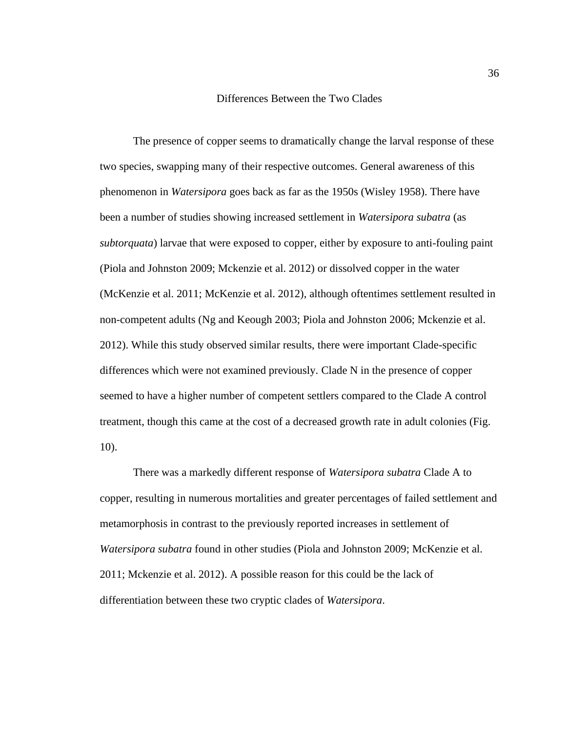#### Differences Between the Two Clades

<span id="page-46-0"></span>The presence of copper seems to dramatically change the larval response of these two species, swapping many of their respective outcomes. General awareness of this phenomenon in *Watersipora* goes back as far as the 1950s (Wisley 1958). There have been a number of studies showing increased settlement in *Watersipora subatra* (as *subtorquata*) larvae that were exposed to copper, either by exposure to anti-fouling paint (Piola and Johnston 2009; Mckenzie et al. 2012) or dissolved copper in the water (McKenzie et al. 2011; McKenzie et al. 2012), although oftentimes settlement resulted in non-competent adults (Ng and Keough 2003; Piola and Johnston 2006; Mckenzie et al. 2012). While this study observed similar results, there were important Clade-specific differences which were not examined previously. Clade N in the presence of copper seemed to have a higher number of competent settlers compared to the Clade A control treatment, though this came at the cost of a decreased growth rate in adult colonies (Fig. 10).

There was a markedly different response of *Watersipora subatra* Clade A to copper, resulting in numerous mortalities and greater percentages of failed settlement and metamorphosis in contrast to the previously reported increases in settlement of *Watersipora subatra* found in other studies (Piola and Johnston 2009; McKenzie et al. 2011; Mckenzie et al. 2012). A possible reason for this could be the lack of differentiation between these two cryptic clades of *Watersipora*.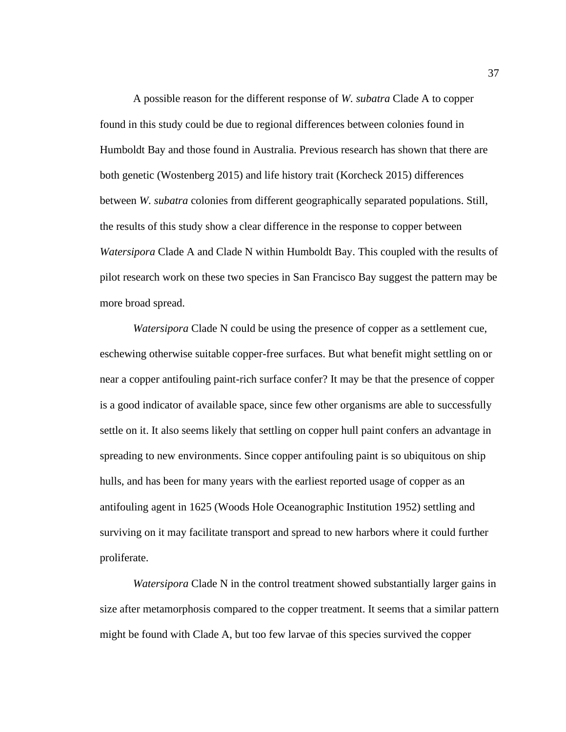A possible reason for the different response of *W. subatra* Clade A to copper found in this study could be due to regional differences between colonies found in Humboldt Bay and those found in Australia. Previous research has shown that there are both genetic (Wostenberg 2015) and life history trait (Korcheck 2015) differences between *W. subatra* colonies from different geographically separated populations. Still, the results of this study show a clear difference in the response to copper between *Watersipora* Clade A and Clade N within Humboldt Bay. This coupled with the results of pilot research work on these two species in San Francisco Bay suggest the pattern may be more broad spread.

*Watersipora* Clade N could be using the presence of copper as a settlement cue, eschewing otherwise suitable copper-free surfaces. But what benefit might settling on or near a copper antifouling paint-rich surface confer? It may be that the presence of copper is a good indicator of available space, since few other organisms are able to successfully settle on it. It also seems likely that settling on copper hull paint confers an advantage in spreading to new environments. Since copper antifouling paint is so ubiquitous on ship hulls, and has been for many years with the earliest reported usage of copper as an antifouling agent in 1625 (Woods Hole Oceanographic Institution 1952) settling and surviving on it may facilitate transport and spread to new harbors where it could further proliferate.

*Watersipora* Clade N in the control treatment showed substantially larger gains in size after metamorphosis compared to the copper treatment. It seems that a similar pattern might be found with Clade A, but too few larvae of this species survived the copper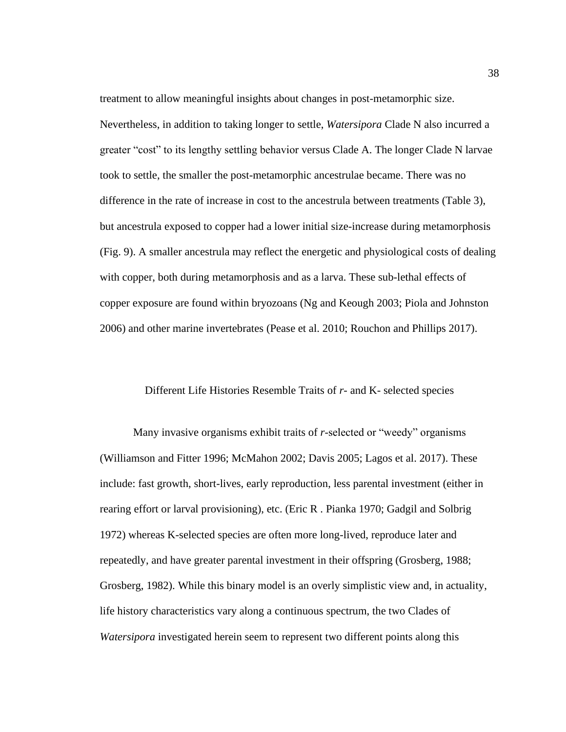treatment to allow meaningful insights about changes in post-metamorphic size. Nevertheless, in addition to taking longer to settle, *Watersipora* Clade N also incurred a greater "cost" to its lengthy settling behavior versus Clade A. The longer Clade N larvae took to settle, the smaller the post-metamorphic ancestrulae became. There was no difference in the rate of increase in cost to the ancestrula between treatments (Table 3), but ancestrula exposed to copper had a lower initial size-increase during metamorphosis (Fig. 9). A smaller ancestrula may reflect the energetic and physiological costs of dealing with copper, both during metamorphosis and as a larva. These sub-lethal effects of copper exposure are found within bryozoans (Ng and Keough 2003; Piola and Johnston 2006) and other marine invertebrates (Pease et al. 2010; Rouchon and Phillips 2017).

#### <span id="page-48-0"></span>Different Life Histories Resemble Traits of *r-* and K- selected species

Many invasive organisms exhibit traits of *r*-selected or "weedy" organisms (Williamson and Fitter 1996; McMahon 2002; Davis 2005; Lagos et al. 2017). These include: fast growth, short-lives, early reproduction, less parental investment (either in rearing effort or larval provisioning), etc. (Eric R . Pianka 1970; Gadgil and Solbrig 1972) whereas K-selected species are often more long-lived, reproduce later and repeatedly, and have greater parental investment in their offspring (Grosberg, 1988; Grosberg, 1982). While this binary model is an overly simplistic view and, in actuality, life history characteristics vary along a continuous spectrum, the two Clades of *Watersipora* investigated herein seem to represent two different points along this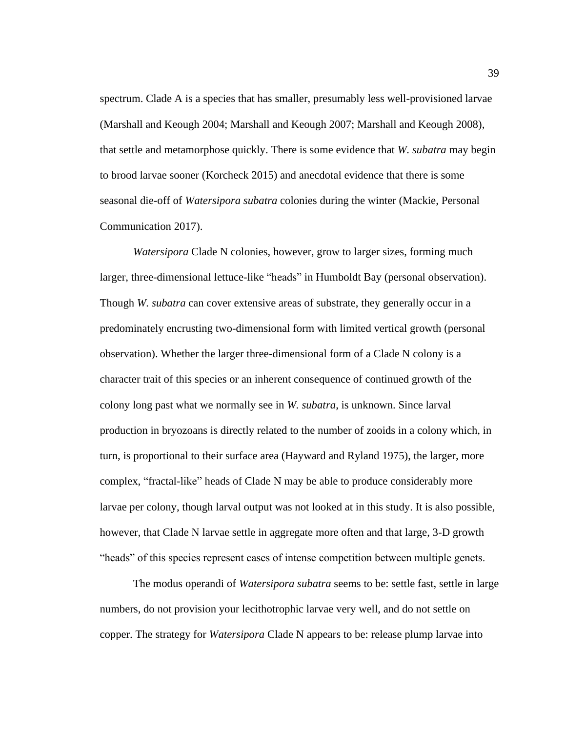spectrum. Clade A is a species that has smaller, presumably less well-provisioned larvae (Marshall and Keough 2004; Marshall and Keough 2007; Marshall and Keough 2008), that settle and metamorphose quickly. There is some evidence that *W. subatra* may begin to brood larvae sooner (Korcheck 2015) and anecdotal evidence that there is some seasonal die-off of *Watersipora subatra* colonies during the winter (Mackie, Personal Communication 2017).

*Watersipora* Clade N colonies, however, grow to larger sizes, forming much larger, three-dimensional lettuce-like "heads" in Humboldt Bay (personal observation). Though *W. subatra* can cover extensive areas of substrate, they generally occur in a predominately encrusting two-dimensional form with limited vertical growth (personal observation). Whether the larger three-dimensional form of a Clade N colony is a character trait of this species or an inherent consequence of continued growth of the colony long past what we normally see in *W. subatra*, is unknown. Since larval production in bryozoans is directly related to the number of zooids in a colony which, in turn, is proportional to their surface area (Hayward and Ryland 1975), the larger, more complex, "fractal-like" heads of Clade N may be able to produce considerably more larvae per colony, though larval output was not looked at in this study. It is also possible, however, that Clade N larvae settle in aggregate more often and that large, 3-D growth "heads" of this species represent cases of intense competition between multiple genets.

The modus operandi of *Watersipora subatra* seems to be: settle fast, settle in large numbers, do not provision your lecithotrophic larvae very well, and do not settle on copper. The strategy for *Watersipora* Clade N appears to be: release plump larvae into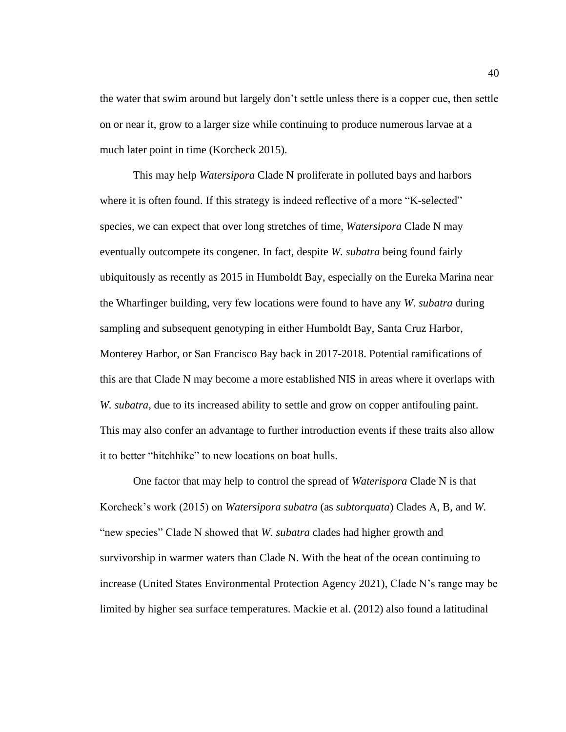the water that swim around but largely don't settle unless there is a copper cue, then settle on or near it, grow to a larger size while continuing to produce numerous larvae at a much later point in time (Korcheck 2015).

This may help *Watersipora* Clade N proliferate in polluted bays and harbors where it is often found. If this strategy is indeed reflective of a more "K-selected" species, we can expect that over long stretches of time, *Watersipora* Clade N may eventually outcompete its congener. In fact, despite *W. subatra* being found fairly ubiquitously as recently as 2015 in Humboldt Bay, especially on the Eureka Marina near the Wharfinger building, very few locations were found to have any *W*. *subatra* during sampling and subsequent genotyping in either Humboldt Bay, Santa Cruz Harbor, Monterey Harbor, or San Francisco Bay back in 2017-2018. Potential ramifications of this are that Clade N may become a more established NIS in areas where it overlaps with *W. subatra*, due to its increased ability to settle and grow on copper antifouling paint. This may also confer an advantage to further introduction events if these traits also allow it to better "hitchhike" to new locations on boat hulls.

One factor that may help to control the spread of *Waterispora* Clade N is that Korcheck's work (2015) on *Watersipora subatra* (as *subtorquata*) Clades A, B, and *W.* "new species" Clade N showed that *W. subatra* clades had higher growth and survivorship in warmer waters than Clade N. With the heat of the ocean continuing to increase (United States Environmental Protection Agency 2021), Clade N's range may be limited by higher sea surface temperatures. Mackie et al. (2012) also found a latitudinal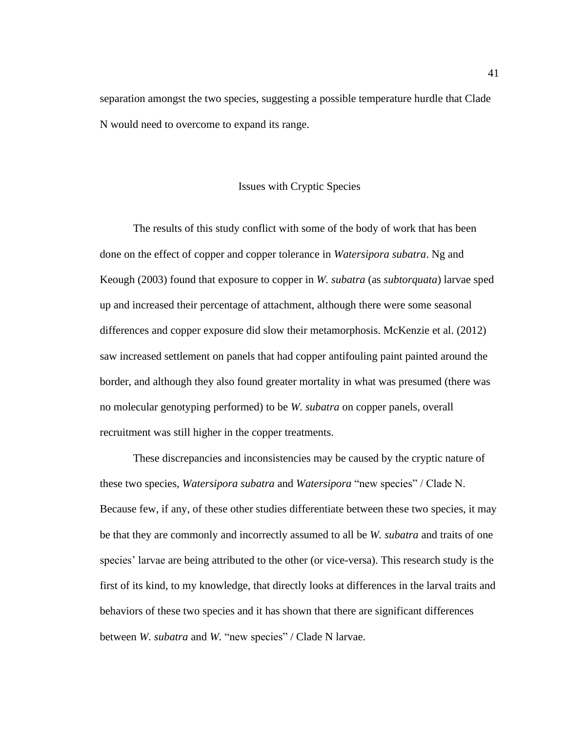separation amongst the two species, suggesting a possible temperature hurdle that Clade N would need to overcome to expand its range.

## Issues with Cryptic Species

<span id="page-51-0"></span>The results of this study conflict with some of the body of work that has been done on the effect of copper and copper tolerance in *Watersipora subatra*. Ng and Keough (2003) found that exposure to copper in *W. subatra* (as *subtorquata*) larvae sped up and increased their percentage of attachment, although there were some seasonal differences and copper exposure did slow their metamorphosis. McKenzie et al. (2012) saw increased settlement on panels that had copper antifouling paint painted around the border, and although they also found greater mortality in what was presumed (there was no molecular genotyping performed) to be *W. subatra* on copper panels, overall recruitment was still higher in the copper treatments.

These discrepancies and inconsistencies may be caused by the cryptic nature of these two species, *Watersipora subatra* and *Watersipora* "new species" / Clade N. Because few, if any, of these other studies differentiate between these two species, it may be that they are commonly and incorrectly assumed to all be *W. subatra* and traits of one species' larvae are being attributed to the other (or vice-versa). This research study is the first of its kind, to my knowledge, that directly looks at differences in the larval traits and behaviors of these two species and it has shown that there are significant differences between *W. subatra* and *W.* "new species" / Clade N larvae.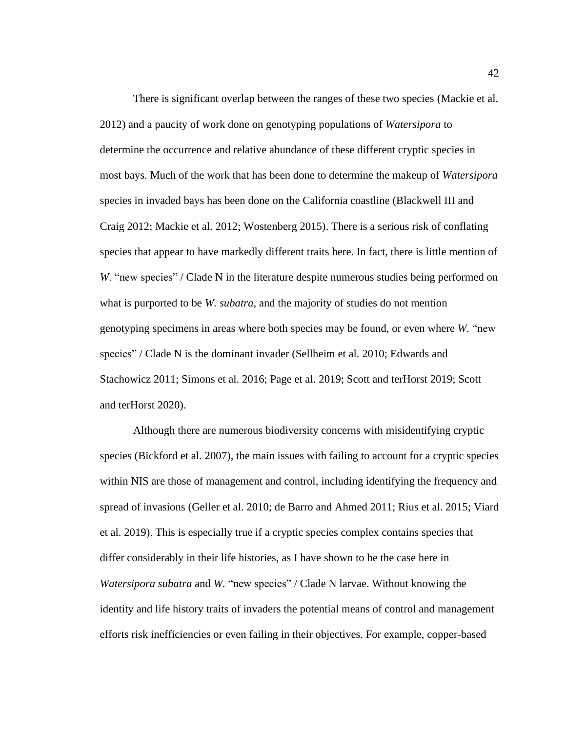There is significant overlap between the ranges of these two species (Mackie et al. 2012) and a paucity of work done on genotyping populations of *Watersipora* to determine the occurrence and relative abundance of these different cryptic species in most bays. Much of the work that has been done to determine the makeup of *Watersipora* species in invaded bays has been done on the California coastline (Blackwell III and Craig 2012; Mackie et al. 2012; Wostenberg 2015). There is a serious risk of conflating species that appear to have markedly different traits here. In fact, there is little mention of *W*. "new species" / Clade N in the literature despite numerous studies being performed on what is purported to be *W. subatra,* and the majority of studies do not mention genotyping specimens in areas where both species may be found, or even where *W.* "new species" / Clade N is the dominant invader (Sellheim et al. 2010; Edwards and Stachowicz 2011; Simons et al. 2016; Page et al. 2019; Scott and terHorst 2019; Scott and terHorst 2020).

Although there are numerous biodiversity concerns with misidentifying cryptic species (Bickford et al. 2007), the main issues with failing to account for a cryptic species within NIS are those of management and control, including identifying the frequency and spread of invasions (Geller et al. 2010; de Barro and Ahmed 2011; Rius et al. 2015; Viard et al. 2019). This is especially true if a cryptic species complex contains species that differ considerably in their life histories, as I have shown to be the case here in *Watersipora subatra* and *W.* "new species" / Clade N larvae. Without knowing the identity and life history traits of invaders the potential means of control and management efforts risk inefficiencies or even failing in their objectives. For example, copper-based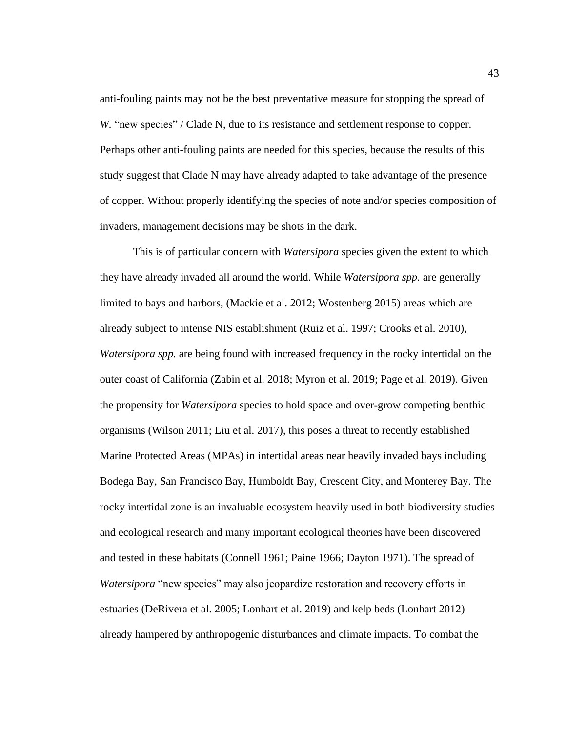anti-fouling paints may not be the best preventative measure for stopping the spread of *W.* "new species" / Clade N, due to its resistance and settlement response to copper. Perhaps other anti-fouling paints are needed for this species, because the results of this study suggest that Clade N may have already adapted to take advantage of the presence of copper. Without properly identifying the species of note and/or species composition of invaders, management decisions may be shots in the dark.

This is of particular concern with *Watersipora* species given the extent to which they have already invaded all around the world. While *Watersipora spp.* are generally limited to bays and harbors, (Mackie et al. 2012; Wostenberg 2015) areas which are already subject to intense NIS establishment (Ruiz et al. 1997; Crooks et al. 2010), *Watersipora spp.* are being found with increased frequency in the rocky intertidal on the outer coast of California (Zabin et al. 2018; Myron et al. 2019; Page et al. 2019). Given the propensity for *Watersipora* species to hold space and over-grow competing benthic organisms (Wilson 2011; Liu et al. 2017), this poses a threat to recently established Marine Protected Areas (MPAs) in intertidal areas near heavily invaded bays including Bodega Bay, San Francisco Bay, Humboldt Bay, Crescent City, and Monterey Bay. The rocky intertidal zone is an invaluable ecosystem heavily used in both biodiversity studies and ecological research and many important ecological theories have been discovered and tested in these habitats (Connell 1961; Paine 1966; Dayton 1971). The spread of *Watersipora* "new species" may also jeopardize restoration and recovery efforts in estuaries (DeRivera et al. 2005; Lonhart et al. 2019) and kelp beds (Lonhart 2012) already hampered by anthropogenic disturbances and climate impacts. To combat the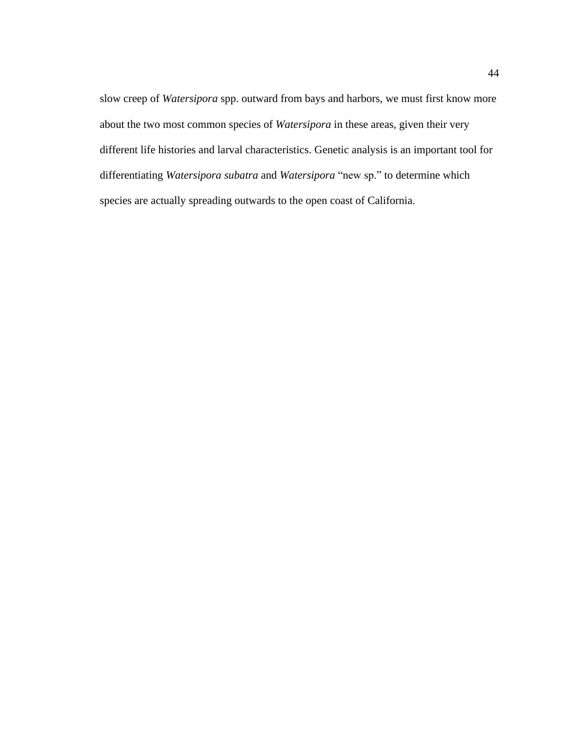slow creep of *Watersipora* spp. outward from bays and harbors, we must first know more about the two most common species of *Watersipora* in these areas, given their very different life histories and larval characteristics. Genetic analysis is an important tool for differentiating *Watersipora subatra* and *Watersipora* "new sp." to determine which species are actually spreading outwards to the open coast of California.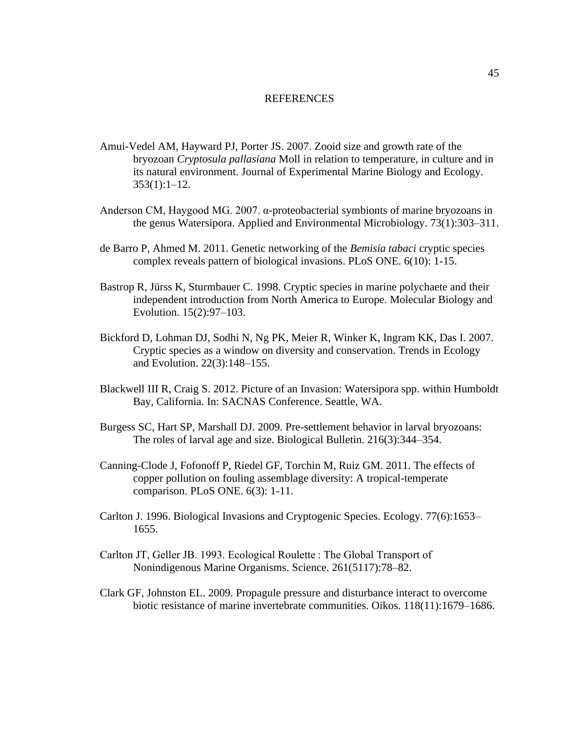#### REFERENCES

- <span id="page-55-0"></span>Amui-Vedel AM, Hayward PJ, Porter JS. 2007. Zooid size and growth rate of the bryozoan *Cryptosula pallasiana* Moll in relation to temperature, in culture and in its natural environment. Journal of Experimental Marine Biology and Ecology.  $353(1):1-12.$
- Anderson CM, Haygood MG. 2007. α-proteobacterial symbionts of marine bryozoans in the genus Watersipora. Applied and Environmental Microbiology. 73(1):303–311.
- de Barro P, Ahmed M. 2011. Genetic networking of the *Bemisia tabaci* cryptic species complex reveals pattern of biological invasions. PLoS ONE. 6(10): 1-15.
- Bastrop R, Jürss K, Sturmbauer C. 1998. Cryptic species in marine polychaete and their independent introduction from North America to Europe. Molecular Biology and Evolution. 15(2):97–103.
- Bickford D, Lohman DJ, Sodhi N, Ng PK, Meier R, Winker K, Ingram KK, Das I. 2007. Cryptic species as a window on diversity and conservation. Trends in Ecology and Evolution. 22(3):148–155.
- Blackwell III R, Craig S. 2012. Picture of an Invasion: Watersipora spp. within Humboldt Bay, California. In: SACNAS Conference. Seattle, WA.
- Burgess SC, Hart SP, Marshall DJ. 2009. Pre-settlement behavior in larval bryozoans: The roles of larval age and size. Biological Bulletin. 216(3):344–354.
- Canning-Clode J, Fofonoff P, Riedel GF, Torchin M, Ruiz GM. 2011. The effects of copper pollution on fouling assemblage diversity: A tropical-temperate comparison. PLoS ONE. 6(3): 1-11.
- Carlton J. 1996. Biological Invasions and Cryptogenic Species. Ecology. 77(6):1653– 1655.
- Carlton JT, Geller JB. 1993. Ecological Roulette : The Global Transport of Nonindigenous Marine Organisms. Science. 261(5117):78–82.
- Clark GF, Johnston EL. 2009. Propagule pressure and disturbance interact to overcome biotic resistance of marine invertebrate communities. Oikos. 118(11):1679–1686.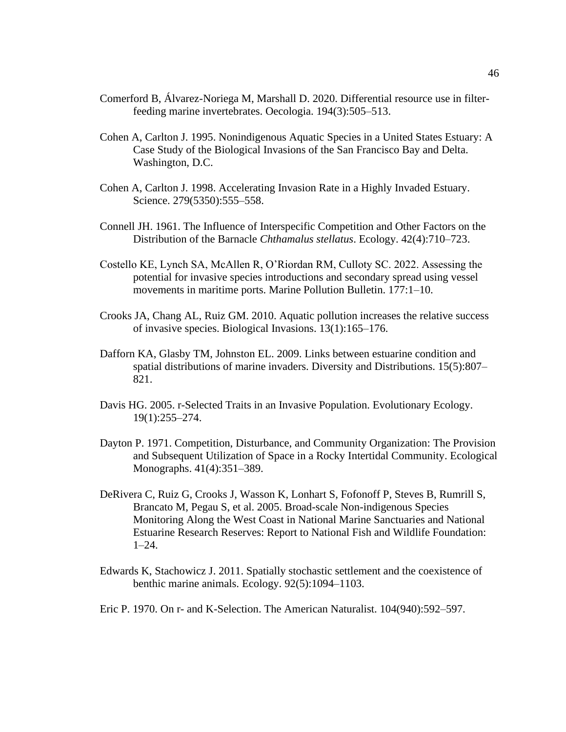- Comerford B, Álvarez-Noriega M, Marshall D. 2020. Differential resource use in filterfeeding marine invertebrates. Oecologia. 194(3):505–513.
- Cohen A, Carlton J. 1995. Nonindigenous Aquatic Species in a United States Estuary: A Case Study of the Biological Invasions of the San Francisco Bay and Delta. Washington, D.C.
- Cohen A, Carlton J. 1998. Accelerating Invasion Rate in a Highly Invaded Estuary. Science. 279(5350):555–558.
- Connell JH. 1961. The Influence of Interspecific Competition and Other Factors on the Distribution of the Barnacle *Chthamalus stellatus*. Ecology. 42(4):710–723.
- Costello KE, Lynch SA, McAllen R, O'Riordan RM, Culloty SC. 2022. Assessing the potential for invasive species introductions and secondary spread using vessel movements in maritime ports. Marine Pollution Bulletin. 177:1–10.
- Crooks JA, Chang AL, Ruiz GM. 2010. Aquatic pollution increases the relative success of invasive species. Biological Invasions. 13(1):165–176.
- Dafforn KA, Glasby TM, Johnston EL. 2009. Links between estuarine condition and spatial distributions of marine invaders. Diversity and Distributions. 15(5):807– 821.
- Davis HG. 2005. r-Selected Traits in an Invasive Population. Evolutionary Ecology. 19(1):255–274.
- Dayton P. 1971. Competition, Disturbance, and Community Organization: The Provision and Subsequent Utilization of Space in a Rocky Intertidal Community. Ecological Monographs. 41(4):351–389.
- DeRivera C, Ruiz G, Crooks J, Wasson K, Lonhart S, Fofonoff P, Steves B, Rumrill S, Brancato M, Pegau S, et al. 2005. Broad-scale Non-indigenous Species Monitoring Along the West Coast in National Marine Sanctuaries and National Estuarine Research Reserves: Report to National Fish and Wildlife Foundation: 1–24.
- Edwards K, Stachowicz J. 2011. Spatially stochastic settlement and the coexistence of benthic marine animals. Ecology. 92(5):1094–1103.
- Eric P. 1970. On r- and K-Selection. The American Naturalist. 104(940):592–597.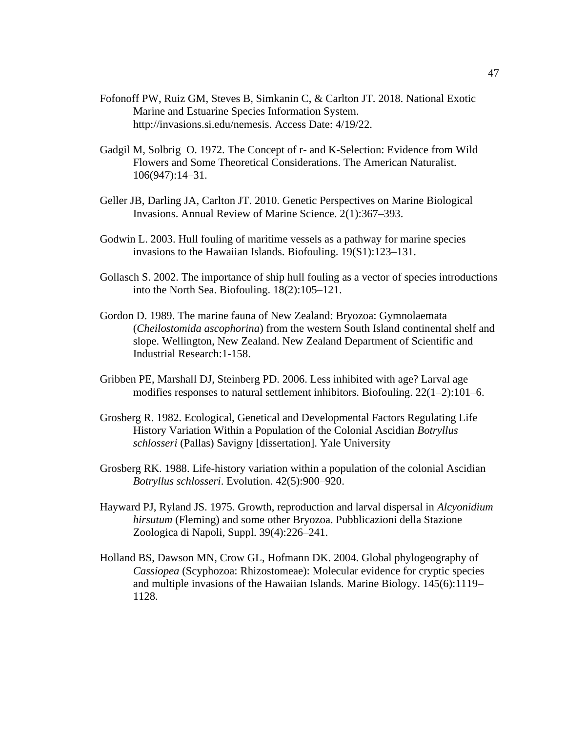- Fofonoff PW, Ruiz GM, Steves B, Simkanin C, & Carlton JT. 2018. National Exotic Marine and Estuarine Species Information System. http://invasions.si.edu/nemesis. Access Date: 4/19/22.
- Gadgil M, Solbrig O. 1972. The Concept of r- and K-Selection: Evidence from Wild Flowers and Some Theoretical Considerations. The American Naturalist. 106(947):14–31.
- Geller JB, Darling JA, Carlton JT. 2010. Genetic Perspectives on Marine Biological Invasions. Annual Review of Marine Science. 2(1):367–393.
- Godwin L. 2003. Hull fouling of maritime vessels as a pathway for marine species invasions to the Hawaiian Islands. Biofouling. 19(S1):123–131.
- Gollasch S. 2002. The importance of ship hull fouling as a vector of species introductions into the North Sea. Biofouling. 18(2):105–121.
- Gordon D. 1989. The marine fauna of New Zealand: Bryozoa: Gymnolaemata (*Cheilostomida ascophorina*) from the western South Island continental shelf and slope. Wellington, New Zealand. New Zealand Department of Scientific and Industrial Research:1-158.
- Gribben PE, Marshall DJ, Steinberg PD. 2006. Less inhibited with age? Larval age modifies responses to natural settlement inhibitors. Biofouling. 22(1–2):101–6.
- Grosberg R. 1982. Ecological, Genetical and Developmental Factors Regulating Life History Variation Within a Population of the Colonial Ascidian *Botryllus schlosseri* (Pallas) Savigny [dissertation]. Yale University
- Grosberg RK. 1988. Life-history variation within a population of the colonial Ascidian *Botryllus schlosseri*. Evolution. 42(5):900–920.
- Hayward PJ, Ryland JS. 1975. Growth, reproduction and larval dispersal in *Alcyonidium hirsutum* (Fleming) and some other Bryozoa. Pubblicazioni della Stazione Zoologica di Napoli, Suppl. 39(4):226–241.
- Holland BS, Dawson MN, Crow GL, Hofmann DK. 2004. Global phylogeography of *Cassiopea* (Scyphozoa: Rhizostomeae): Molecular evidence for cryptic species and multiple invasions of the Hawaiian Islands. Marine Biology. 145(6):1119– 1128.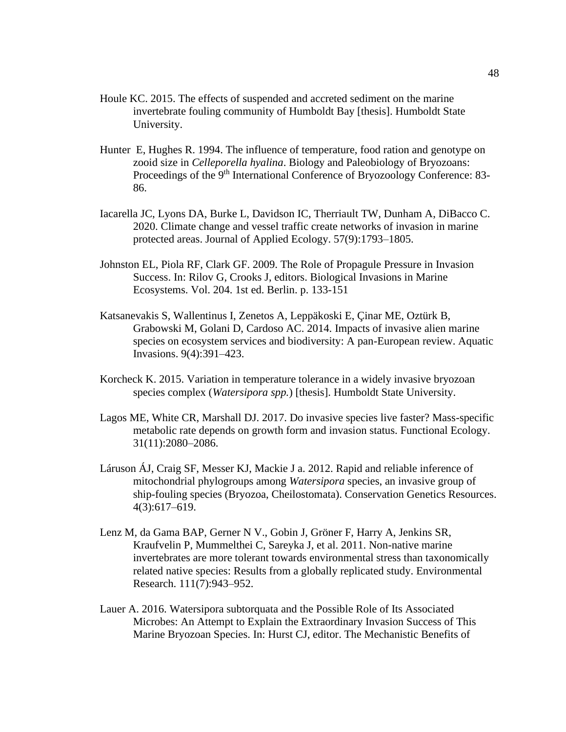- Houle KC. 2015. The effects of suspended and accreted sediment on the marine invertebrate fouling community of Humboldt Bay [thesis]. Humboldt State University.
- Hunter E, Hughes R. 1994. The influence of temperature, food ration and genotype on zooid size in *Celleporella hyalina*. Biology and Paleobiology of Bryozoans: Proceedings of the 9<sup>th</sup> International Conference of Bryozoology Conference: 83-86.
- Iacarella JC, Lyons DA, Burke L, Davidson IC, Therriault TW, Dunham A, DiBacco C. 2020. Climate change and vessel traffic create networks of invasion in marine protected areas. Journal of Applied Ecology. 57(9):1793–1805.
- Johnston EL, Piola RF, Clark GF. 2009. The Role of Propagule Pressure in Invasion Success. In: Rilov G, Crooks J, editors. Biological Invasions in Marine Ecosystems. Vol. 204. 1st ed. Berlin. p. 133-151
- Katsanevakis S, Wallentinus I, Zenetos A, Leppäkoski E, Çinar ME, Oztürk B, Grabowski M, Golani D, Cardoso AC. 2014. Impacts of invasive alien marine species on ecosystem services and biodiversity: A pan-European review. Aquatic Invasions. 9(4):391–423.
- Korcheck K. 2015. Variation in temperature tolerance in a widely invasive bryozoan species complex (*Watersipora spp.*) [thesis]. Humboldt State University.
- Lagos ME, White CR, Marshall DJ. 2017. Do invasive species live faster? Mass-specific metabolic rate depends on growth form and invasion status. Functional Ecology. 31(11):2080–2086.
- Láruson ÁJ, Craig SF, Messer KJ, Mackie J a. 2012. Rapid and reliable inference of mitochondrial phylogroups among *Watersipora* species, an invasive group of ship-fouling species (Bryozoa, Cheilostomata). Conservation Genetics Resources. 4(3):617–619.
- Lenz M, da Gama BAP, Gerner N V., Gobin J, Gröner F, Harry A, Jenkins SR, Kraufvelin P, Mummelthei C, Sareyka J, et al. 2011. Non-native marine invertebrates are more tolerant towards environmental stress than taxonomically related native species: Results from a globally replicated study. Environmental Research. 111(7):943–952.
- Lauer A. 2016. Watersipora subtorquata and the Possible Role of Its Associated Microbes: An Attempt to Explain the Extraordinary Invasion Success of This Marine Bryozoan Species. In: Hurst CJ, editor. The Mechanistic Benefits of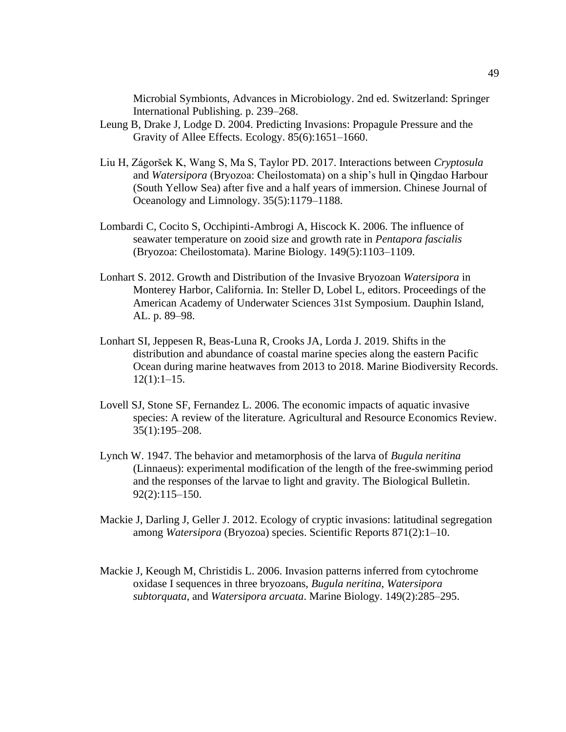Microbial Symbionts, Advances in Microbiology. 2nd ed. Switzerland: Springer International Publishing. p. 239–268.

- Leung B, Drake J, Lodge D. 2004. Predicting Invasions: Propagule Pressure and the Gravity of Allee Effects. Ecology. 85(6):1651–1660.
- Liu H, Zágoršek K, Wang S, Ma S, Taylor PD. 2017. Interactions between *Cryptosula* and *Watersipora* (Bryozoa: Cheilostomata) on a ship's hull in Qingdao Harbour (South Yellow Sea) after five and a half years of immersion. Chinese Journal of Oceanology and Limnology. 35(5):1179–1188.
- Lombardi C, Cocito S, Occhipinti-Ambrogi A, Hiscock K. 2006. The influence of seawater temperature on zooid size and growth rate in *Pentapora fascialis* (Bryozoa: Cheilostomata). Marine Biology. 149(5):1103–1109.
- Lonhart S. 2012. Growth and Distribution of the Invasive Bryozoan *Watersipora* in Monterey Harbor, California. In: Steller D, Lobel L, editors. Proceedings of the American Academy of Underwater Sciences 31st Symposium. Dauphin Island, AL. p. 89–98.
- Lonhart SI, Jeppesen R, Beas-Luna R, Crooks JA, Lorda J. 2019. Shifts in the distribution and abundance of coastal marine species along the eastern Pacific Ocean during marine heatwaves from 2013 to 2018. Marine Biodiversity Records.  $12(1):1-15.$
- Lovell SJ, Stone SF, Fernandez L. 2006. The economic impacts of aquatic invasive species: A review of the literature. Agricultural and Resource Economics Review. 35(1):195–208.
- Lynch W. 1947. The behavior and metamorphosis of the larva of *Bugula neritina* (Linnaeus): experimental modification of the length of the free-swimming period and the responses of the larvae to light and gravity. The Biological Bulletin. 92(2):115–150.
- Mackie J, Darling J, Geller J. 2012. Ecology of cryptic invasions: latitudinal segregation among *Watersipora* (Bryozoa) species. Scientific Reports 871(2):1–10.
- Mackie J, Keough M, Christidis L. 2006. Invasion patterns inferred from cytochrome oxidase I sequences in three bryozoans, *Bugula neritina*, *Watersipora subtorquata*, and *Watersipora arcuata*. Marine Biology. 149(2):285–295.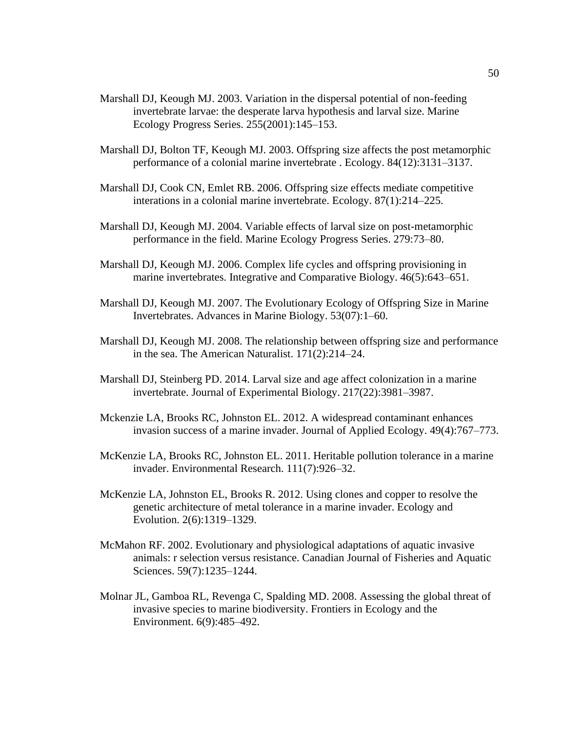- Marshall DJ, Keough MJ. 2003. Variation in the dispersal potential of non-feeding invertebrate larvae: the desperate larva hypothesis and larval size. Marine Ecology Progress Series. 255(2001):145–153.
- Marshall DJ, Bolton TF, Keough MJ. 2003. Offspring size affects the post metamorphic performance of a colonial marine invertebrate . Ecology. 84(12):3131–3137.
- Marshall DJ, Cook CN, Emlet RB. 2006. Offspring size effects mediate competitive interations in a colonial marine invertebrate. Ecology. 87(1):214–225.
- Marshall DJ, Keough MJ. 2004. Variable effects of larval size on post-metamorphic performance in the field. Marine Ecology Progress Series. 279:73–80.
- Marshall DJ, Keough MJ. 2006. Complex life cycles and offspring provisioning in marine invertebrates. Integrative and Comparative Biology. 46(5):643–651.
- Marshall DJ, Keough MJ. 2007. The Evolutionary Ecology of Offspring Size in Marine Invertebrates. Advances in Marine Biology. 53(07):1–60.
- Marshall DJ, Keough MJ. 2008. The relationship between offspring size and performance in the sea. The American Naturalist. 171(2):214–24.
- Marshall DJ, Steinberg PD. 2014. Larval size and age affect colonization in a marine invertebrate. Journal of Experimental Biology. 217(22):3981–3987.
- Mckenzie LA, Brooks RC, Johnston EL. 2012. A widespread contaminant enhances invasion success of a marine invader. Journal of Applied Ecology. 49(4):767–773.
- McKenzie LA, Brooks RC, Johnston EL. 2011. Heritable pollution tolerance in a marine invader. Environmental Research. 111(7):926–32.
- McKenzie LA, Johnston EL, Brooks R. 2012. Using clones and copper to resolve the genetic architecture of metal tolerance in a marine invader. Ecology and Evolution. 2(6):1319–1329.
- McMahon RF. 2002. Evolutionary and physiological adaptations of aquatic invasive animals: r selection versus resistance. Canadian Journal of Fisheries and Aquatic Sciences. 59(7):1235–1244.
- Molnar JL, Gamboa RL, Revenga C, Spalding MD. 2008. Assessing the global threat of invasive species to marine biodiversity. Frontiers in Ecology and the Environment. 6(9):485–492.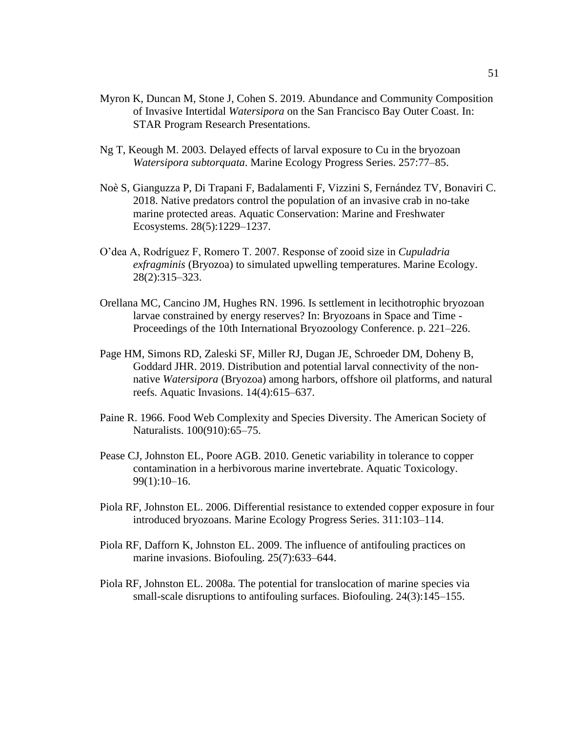- Myron K, Duncan M, Stone J, Cohen S. 2019. Abundance and Community Composition of Invasive Intertidal *Watersipora* on the San Francisco Bay Outer Coast. In: STAR Program Research Presentations.
- Ng T, Keough M. 2003. Delayed effects of larval exposure to Cu in the bryozoan *Watersipora subtorquata*. Marine Ecology Progress Series. 257:77–85.
- Noè S, Gianguzza P, Di Trapani F, Badalamenti F, Vizzini S, Fernández TV, Bonaviri C. 2018. Native predators control the population of an invasive crab in no-take marine protected areas. Aquatic Conservation: Marine and Freshwater Ecosystems. 28(5):1229–1237.
- O'dea A, Rodríguez F, Romero T. 2007. Response of zooid size in *Cupuladria exfragminis* (Bryozoa) to simulated upwelling temperatures. Marine Ecology. 28(2):315–323.
- Orellana MC, Cancino JM, Hughes RN. 1996. Is settlement in lecithotrophic bryozoan larvae constrained by energy reserves? In: Bryozoans in Space and Time - Proceedings of the 10th International Bryozoology Conference. p. 221–226.
- Page HM, Simons RD, Zaleski SF, Miller RJ, Dugan JE, Schroeder DM, Doheny B, Goddard JHR. 2019. Distribution and potential larval connectivity of the nonnative *Watersipora* (Bryozoa) among harbors, offshore oil platforms, and natural reefs. Aquatic Invasions. 14(4):615–637.
- Paine R. 1966. Food Web Complexity and Species Diversity. The American Society of Naturalists. 100(910):65–75.
- Pease CJ, Johnston EL, Poore AGB. 2010. Genetic variability in tolerance to copper contamination in a herbivorous marine invertebrate. Aquatic Toxicology. 99(1):10–16.
- Piola RF, Johnston EL. 2006. Differential resistance to extended copper exposure in four introduced bryozoans. Marine Ecology Progress Series. 311:103–114.
- Piola RF, Dafforn K, Johnston EL. 2009. The influence of antifouling practices on marine invasions. Biofouling. 25(7):633–644.
- Piola RF, Johnston EL. 2008a. The potential for translocation of marine species via small-scale disruptions to antifouling surfaces. Biofouling. 24(3):145–155.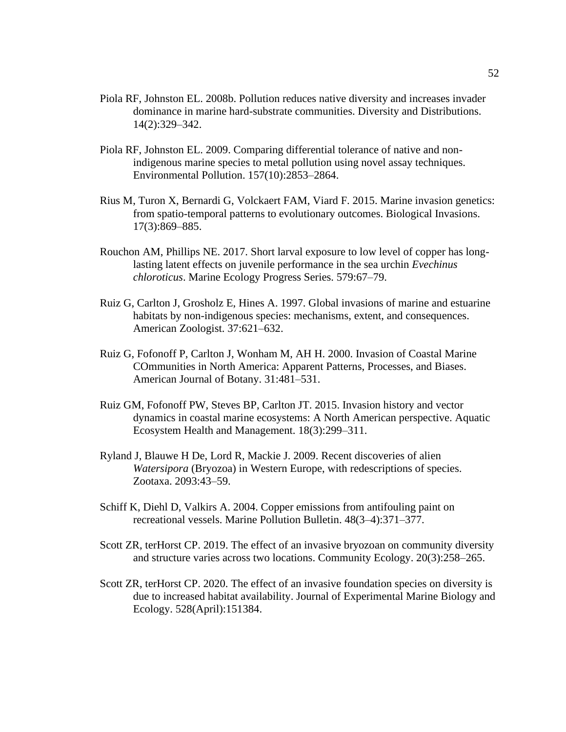- Piola RF, Johnston EL. 2008b. Pollution reduces native diversity and increases invader dominance in marine hard-substrate communities. Diversity and Distributions. 14(2):329–342.
- Piola RF, Johnston EL. 2009. Comparing differential tolerance of native and nonindigenous marine species to metal pollution using novel assay techniques. Environmental Pollution. 157(10):2853–2864.
- Rius M, Turon X, Bernardi G, Volckaert FAM, Viard F. 2015. Marine invasion genetics: from spatio-temporal patterns to evolutionary outcomes. Biological Invasions. 17(3):869–885.
- Rouchon AM, Phillips NE. 2017. Short larval exposure to low level of copper has longlasting latent effects on juvenile performance in the sea urchin *Evechinus chloroticus*. Marine Ecology Progress Series. 579:67–79.
- Ruiz G, Carlton J, Grosholz E, Hines A. 1997. Global invasions of marine and estuarine habitats by non-indigenous species: mechanisms, extent, and consequences. American Zoologist. 37:621–632.
- Ruiz G, Fofonoff P, Carlton J, Wonham M, AH H. 2000. Invasion of Coastal Marine COmmunities in North America: Apparent Patterns, Processes, and Biases. American Journal of Botany. 31:481–531.
- Ruiz GM, Fofonoff PW, Steves BP, Carlton JT. 2015. Invasion history and vector dynamics in coastal marine ecosystems: A North American perspective. Aquatic Ecosystem Health and Management. 18(3):299–311.
- Ryland J, Blauwe H De, Lord R, Mackie J. 2009. Recent discoveries of alien *Watersipora* (Bryozoa) in Western Europe, with redescriptions of species. Zootaxa. 2093:43–59.
- Schiff K, Diehl D, Valkirs A. 2004. Copper emissions from antifouling paint on recreational vessels. Marine Pollution Bulletin. 48(3–4):371–377.
- Scott ZR, terHorst CP. 2019. The effect of an invasive bryozoan on community diversity and structure varies across two locations. Community Ecology. 20(3):258–265.
- Scott ZR, terHorst CP. 2020. The effect of an invasive foundation species on diversity is due to increased habitat availability. Journal of Experimental Marine Biology and Ecology. 528(April):151384.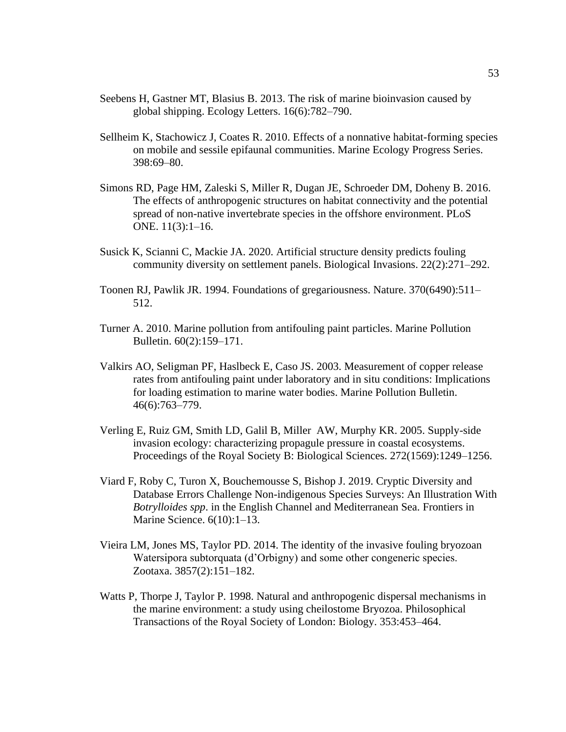- Seebens H, Gastner MT, Blasius B. 2013. The risk of marine bioinvasion caused by global shipping. Ecology Letters. 16(6):782–790.
- Sellheim K, Stachowicz J, Coates R. 2010. Effects of a nonnative habitat-forming species on mobile and sessile epifaunal communities. Marine Ecology Progress Series. 398:69–80.
- Simons RD, Page HM, Zaleski S, Miller R, Dugan JE, Schroeder DM, Doheny B. 2016. The effects of anthropogenic structures on habitat connectivity and the potential spread of non-native invertebrate species in the offshore environment. PLoS ONE. 11(3):1–16.
- Susick K, Scianni C, Mackie JA. 2020. Artificial structure density predicts fouling community diversity on settlement panels. Biological Invasions. 22(2):271–292.
- Toonen RJ, Pawlik JR. 1994. Foundations of gregariousness. Nature. 370(6490):511– 512.
- Turner A. 2010. Marine pollution from antifouling paint particles. Marine Pollution Bulletin. 60(2):159–171.
- Valkirs AO, Seligman PF, Haslbeck E, Caso JS. 2003. Measurement of copper release rates from antifouling paint under laboratory and in situ conditions: Implications for loading estimation to marine water bodies. Marine Pollution Bulletin. 46(6):763–779.
- Verling E, Ruiz GM, Smith LD, Galil B, Miller AW, Murphy KR. 2005. Supply-side invasion ecology: characterizing propagule pressure in coastal ecosystems. Proceedings of the Royal Society B: Biological Sciences. 272(1569):1249–1256.
- Viard F, Roby C, Turon X, Bouchemousse S, Bishop J. 2019. Cryptic Diversity and Database Errors Challenge Non-indigenous Species Surveys: An Illustration With *Botrylloides spp*. in the English Channel and Mediterranean Sea. Frontiers in Marine Science. 6(10):1–13.
- Vieira LM, Jones MS, Taylor PD. 2014. The identity of the invasive fouling bryozoan Watersipora subtorquata (d'Orbigny) and some other congeneric species. Zootaxa. 3857(2):151–182.
- Watts P, Thorpe J, Taylor P. 1998. Natural and anthropogenic dispersal mechanisms in the marine environment: a study using cheilostome Bryozoa. Philosophical Transactions of the Royal Society of London: Biology. 353:453–464.